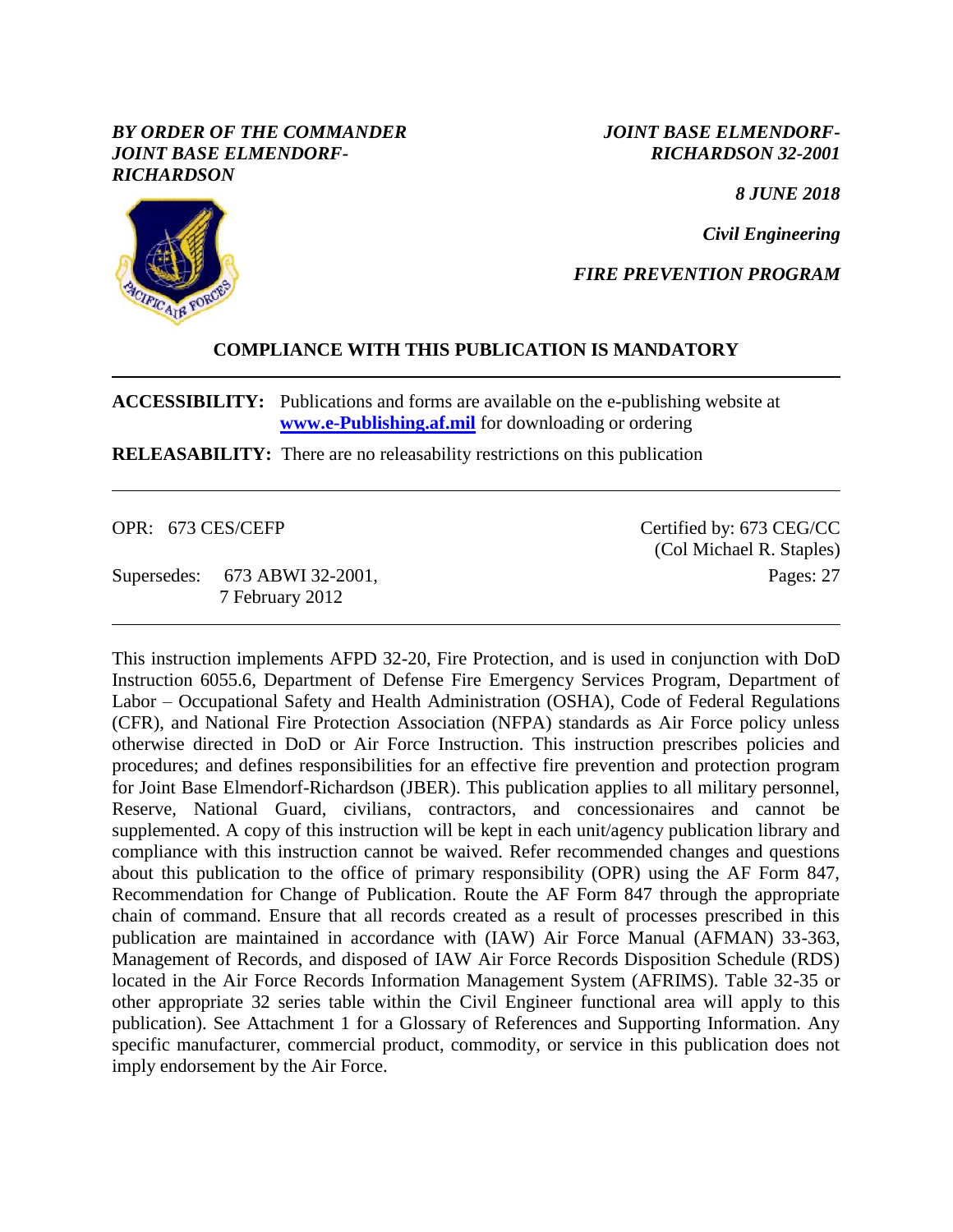## *BY ORDER OF THE COMMANDER JOINT BASE ELMENDORF-RICHARDSON*

*JOINT BASE ELMENDORF-RICHARDSON 32-2001*

*8 JUNE 2018*

*Civil Engineering*

*FIRE PREVENTION PROGRAM*

# **COMPLIANCE WITH THIS PUBLICATION IS MANDATORY**

**ACCESSIBILITY:** Publications and forms are available on the e-publishing website at **[www.e-Publishing.af.mil](http://www.e-publishing.af.mil/)** for downloading or ordering

**RELEASABILITY:** There are no releasability restrictions on this publication

OPR: 673 CES/CEFP

Supersedes: 673 ABWI 32-2001, 7 February 2012

Certified by: 673 CEG/CC (Col Michael R. Staples) Pages: 27

This instruction implements AFPD 32-20, Fire Protection, and is used in conjunction with DoD Instruction 6055.6, Department of Defense Fire Emergency Services Program, Department of Labor – Occupational Safety and Health Administration (OSHA), Code of Federal Regulations (CFR), and National Fire Protection Association (NFPA) standards as Air Force policy unless otherwise directed in DoD or Air Force Instruction. This instruction prescribes policies and procedures; and defines responsibilities for an effective fire prevention and protection program for Joint Base Elmendorf-Richardson (JBER). This publication applies to all military personnel, Reserve, National Guard, civilians, contractors, and concessionaires and cannot be supplemented. A copy of this instruction will be kept in each unit/agency publication library and compliance with this instruction cannot be waived. Refer recommended changes and questions about this publication to the office of primary responsibility (OPR) using the AF Form 847, Recommendation for Change of Publication. Route the AF Form 847 through the appropriate chain of command. Ensure that all records created as a result of processes prescribed in this publication are maintained in accordance with (IAW) Air Force Manual (AFMAN) 33-363, Management of Records, and disposed of IAW Air Force Records Disposition Schedule (RDS) located in the Air Force Records Information Management System (AFRIMS). Table 32-35 or other appropriate 32 series table within the Civil Engineer functional area will apply to this publication). See Attachment 1 for a Glossary of References and Supporting Information. Any specific manufacturer, commercial product, commodity, or service in this publication does not imply endorsement by the Air Force.

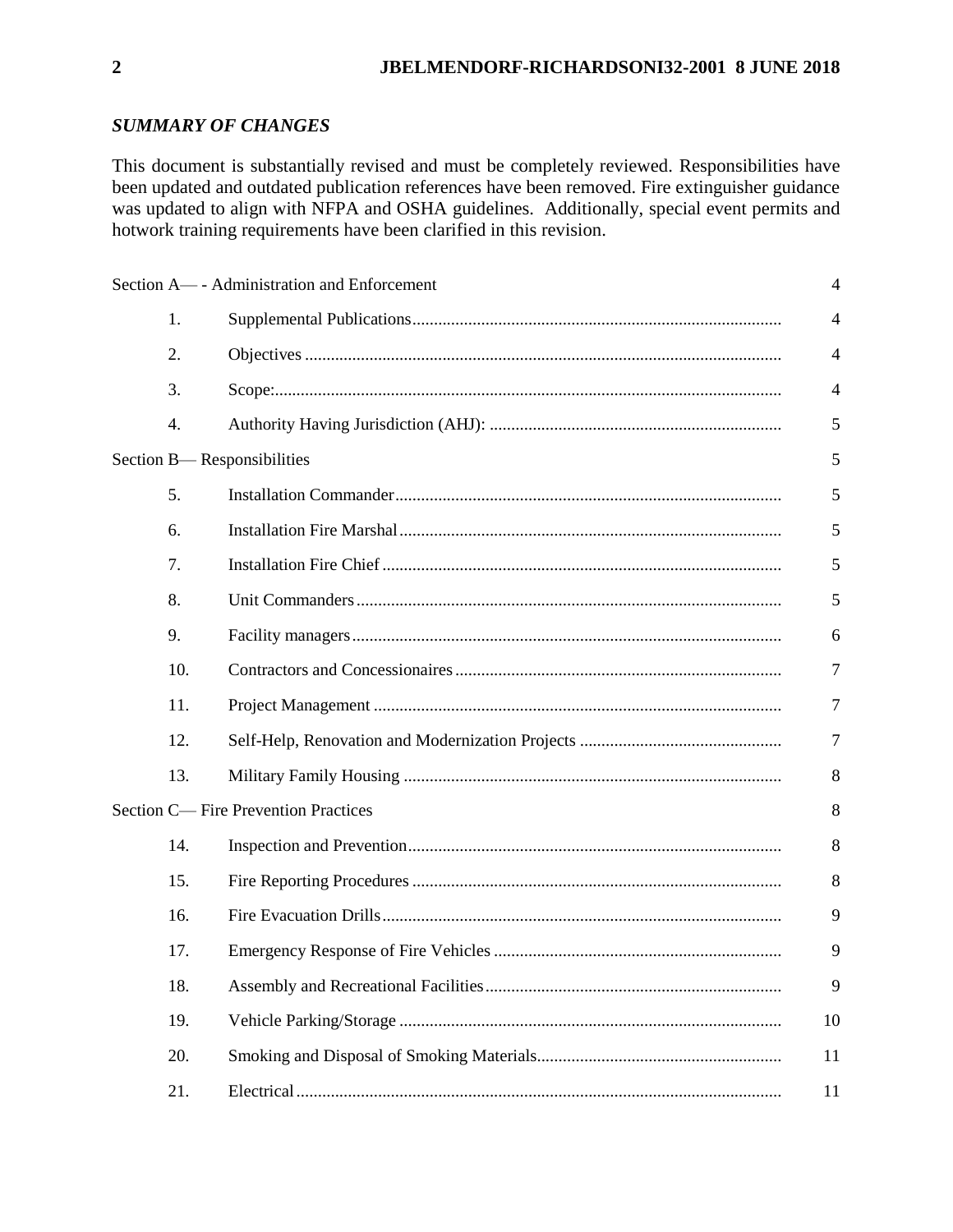# *SUMMARY OF CHANGES*

This document is substantially revised and must be completely reviewed. Responsibilities have been updated and outdated publication references have been removed. Fire extinguisher guidance was updated to align with NFPA and OSHA guidelines. Additionally, special event permits and hotwork training requirements have been clarified in this revision.

|                                      |     | Section A-- Administration and Enforcement | 4              |
|--------------------------------------|-----|--------------------------------------------|----------------|
|                                      | 1.  |                                            | 4              |
|                                      | 2.  |                                            | 4              |
|                                      | 3.  |                                            | $\overline{4}$ |
|                                      | 4.  |                                            | 5              |
| Section B— Responsibilities          |     |                                            |                |
|                                      | 5.  |                                            | 5              |
|                                      | 6.  |                                            | 5              |
|                                      | 7.  |                                            | 5              |
|                                      | 8.  |                                            | 5              |
|                                      | 9.  |                                            | 6              |
|                                      | 10. |                                            | 7              |
|                                      | 11. |                                            | $\overline{7}$ |
|                                      | 12. |                                            | 7              |
|                                      | 13. |                                            | 8              |
| Section C— Fire Prevention Practices |     |                                            |                |
|                                      | 14. |                                            | 8              |
|                                      | 15. |                                            | 8              |
|                                      | 16. |                                            | 9              |
|                                      | 17. |                                            | 9              |
|                                      | 18. |                                            | 9              |
|                                      | 19. |                                            | 10             |
|                                      | 20. |                                            | 11             |
|                                      | 21. |                                            | 11             |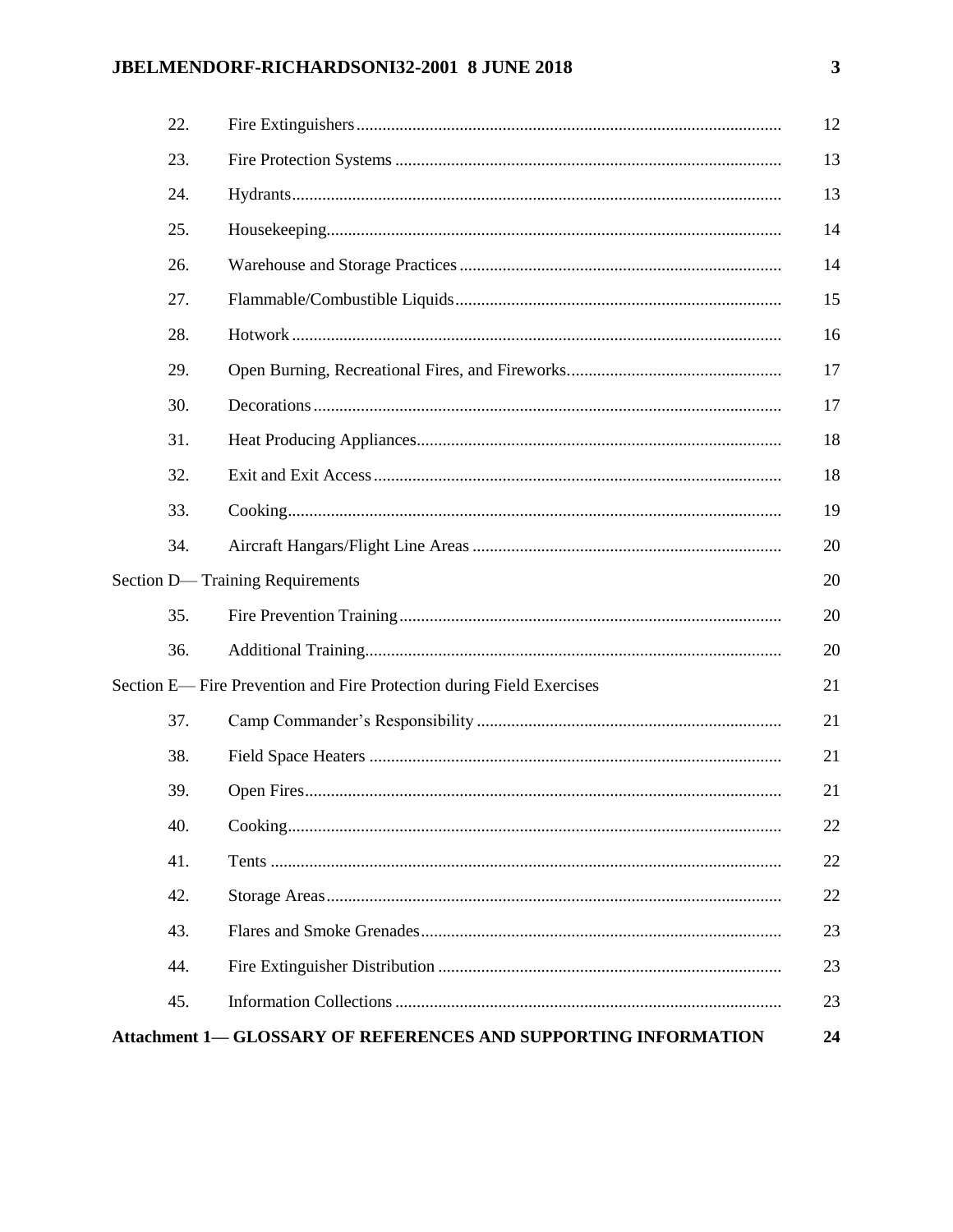# JBELMENDORF-RICHARDSONI32-2001 8 JUNE 2018

| 22.                              |                                                                       | 12 |  |  |
|----------------------------------|-----------------------------------------------------------------------|----|--|--|
| 23.                              |                                                                       | 13 |  |  |
| 24.                              |                                                                       | 13 |  |  |
| 25.                              |                                                                       | 14 |  |  |
| 26.                              |                                                                       | 14 |  |  |
| 27.                              |                                                                       | 15 |  |  |
| 28.                              |                                                                       | 16 |  |  |
| 29.                              |                                                                       | 17 |  |  |
| 30.                              |                                                                       | 17 |  |  |
| 31.                              |                                                                       | 18 |  |  |
| 32.                              |                                                                       | 18 |  |  |
| 33.                              |                                                                       | 19 |  |  |
| 34.                              |                                                                       | 20 |  |  |
| Section D— Training Requirements |                                                                       |    |  |  |
| 35.                              |                                                                       | 20 |  |  |
| 36.                              |                                                                       | 20 |  |  |
|                                  | Section E- Fire Prevention and Fire Protection during Field Exercises | 21 |  |  |
| 37.                              |                                                                       | 21 |  |  |
| 38.                              |                                                                       | 21 |  |  |
| 39.                              |                                                                       | 21 |  |  |
| 40.                              |                                                                       | 22 |  |  |
| 41.                              |                                                                       | 22 |  |  |
| 42.                              |                                                                       | 22 |  |  |
| 43.                              |                                                                       | 23 |  |  |
| 44.                              |                                                                       | 23 |  |  |
| 45.                              |                                                                       | 23 |  |  |
|                                  | Attachment 1— GLOSSARY OF REFERENCES AND SUPPORTING INFORMATION       | 24 |  |  |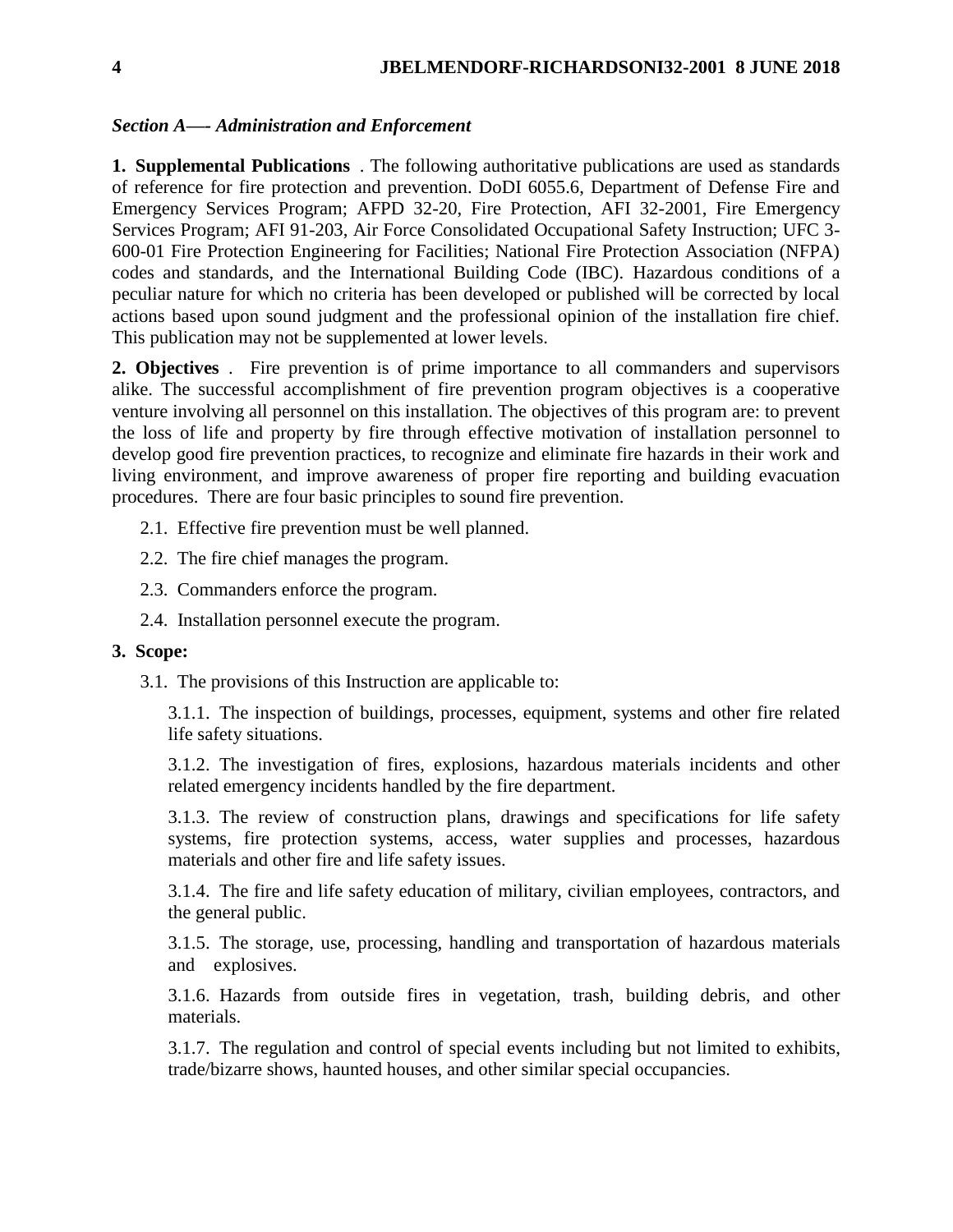#### <span id="page-3-0"></span>*Section A—- Administration and Enforcement*

<span id="page-3-1"></span>**1. Supplemental Publications** . The following authoritative publications are used as standards of reference for fire protection and prevention. DoDI 6055.6, Department of Defense Fire and Emergency Services Program; AFPD 32-20, Fire Protection, AFI 32-2001, Fire Emergency Services Program; AFI 91-203, Air Force Consolidated Occupational Safety Instruction; UFC 3- 600-01 Fire Protection Engineering for Facilities; National Fire Protection Association (NFPA) codes and standards, and the International Building Code (IBC). Hazardous conditions of a peculiar nature for which no criteria has been developed or published will be corrected by local actions based upon sound judgment and the professional opinion of the installation fire chief. This publication may not be supplemented at lower levels.

<span id="page-3-2"></span>**2. Objectives** . Fire prevention is of prime importance to all commanders and supervisors alike. The successful accomplishment of fire prevention program objectives is a cooperative venture involving all personnel on this installation. The objectives of this program are: to prevent the loss of life and property by fire through effective motivation of installation personnel to develop good fire prevention practices, to recognize and eliminate fire hazards in their work and living environment, and improve awareness of proper fire reporting and building evacuation procedures. There are four basic principles to sound fire prevention.

- 2.1. Effective fire prevention must be well planned.
- 2.2. The fire chief manages the program.
- 2.3. Commanders enforce the program.
- 2.4. Installation personnel execute the program.

#### <span id="page-3-3"></span>**3. Scope:**

3.1. The provisions of this Instruction are applicable to:

3.1.1. The inspection of buildings, processes, equipment, systems and other fire related life safety situations.

3.1.2. The investigation of fires, explosions, hazardous materials incidents and other related emergency incidents handled by the fire department.

3.1.3. The review of construction plans, drawings and specifications for life safety systems, fire protection systems, access, water supplies and processes, hazardous materials and other fire and life safety issues.

3.1.4. The fire and life safety education of military, civilian employees, contractors, and the general public.

3.1.5. The storage, use, processing, handling and transportation of hazardous materials and explosives.

3.1.6. Hazards from outside fires in vegetation, trash, building debris, and other materials.

3.1.7. The regulation and control of special events including but not limited to exhibits, trade/bizarre shows, haunted houses, and other similar special occupancies.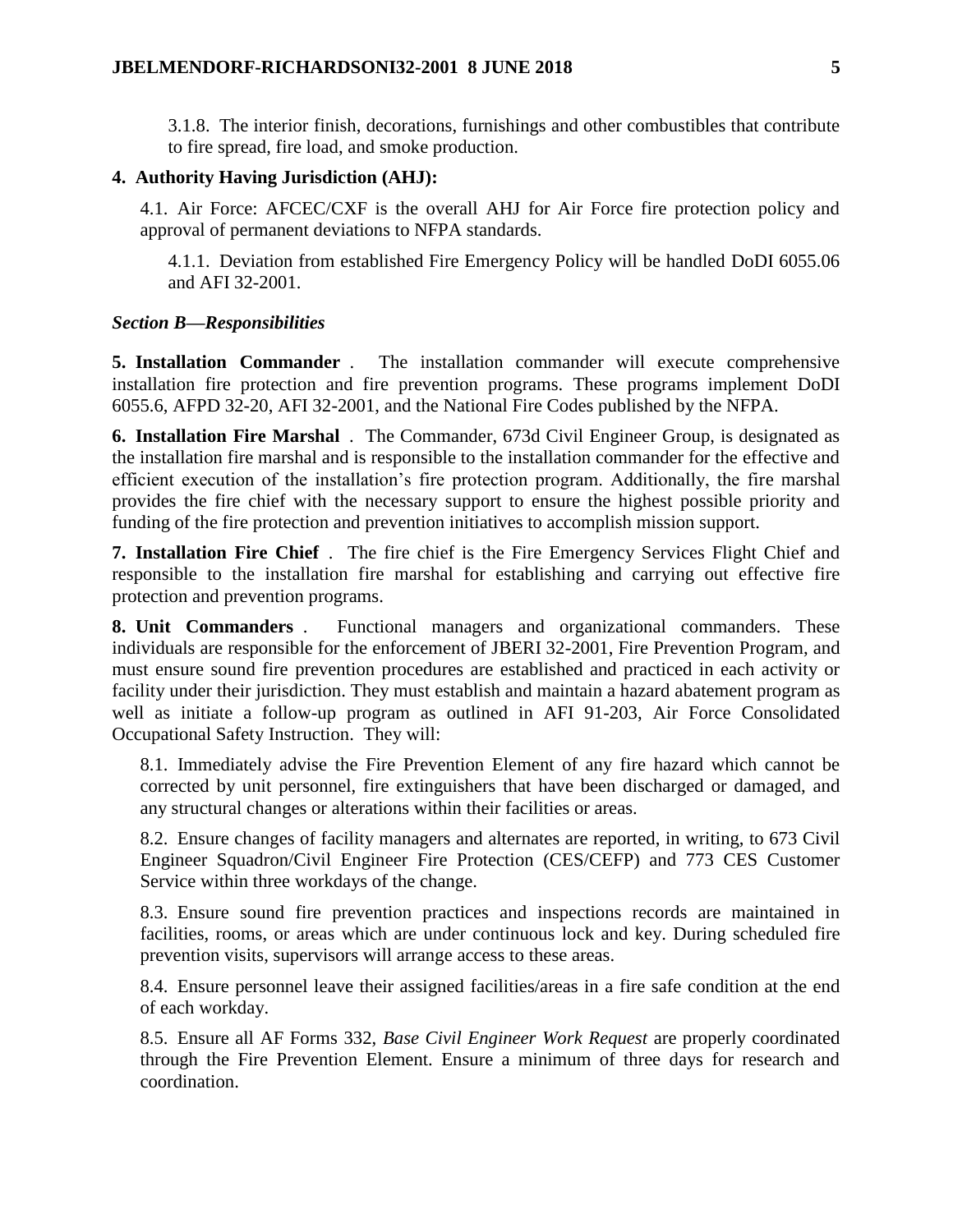3.1.8. The interior finish, decorations, furnishings and other combustibles that contribute to fire spread, fire load, and smoke production.

#### <span id="page-4-0"></span>**4. Authority Having Jurisdiction (AHJ):**

4.1. Air Force: AFCEC/CXF is the overall AHJ for Air Force fire protection policy and approval of permanent deviations to NFPA standards.

4.1.1. Deviation from established Fire Emergency Policy will be handled DoDI 6055.06 and AFI 32-2001.

#### <span id="page-4-1"></span>*Section B—Responsibilities*

<span id="page-4-2"></span>**5. Installation Commander** . The installation commander will execute comprehensive installation fire protection and fire prevention programs. These programs implement DoDI 6055.6, AFPD 32-20, AFI 32-2001, and the National Fire Codes published by the NFPA.

<span id="page-4-3"></span>**6. Installation Fire Marshal** . The Commander, 673d Civil Engineer Group, is designated as the installation fire marshal and is responsible to the installation commander for the effective and efficient execution of the installation's fire protection program. Additionally, the fire marshal provides the fire chief with the necessary support to ensure the highest possible priority and funding of the fire protection and prevention initiatives to accomplish mission support.

<span id="page-4-4"></span>**7. Installation Fire Chief** . The fire chief is the Fire Emergency Services Flight Chief and responsible to the installation fire marshal for establishing and carrying out effective fire protection and prevention programs.

<span id="page-4-5"></span>**8. Unit Commanders** . Functional managers and organizational commanders. These individuals are responsible for the enforcement of JBERI 32-2001, Fire Prevention Program, and must ensure sound fire prevention procedures are established and practiced in each activity or facility under their jurisdiction. They must establish and maintain a hazard abatement program as well as initiate a follow-up program as outlined in AFI 91-203, Air Force Consolidated Occupational Safety Instruction. They will:

8.1. Immediately advise the Fire Prevention Element of any fire hazard which cannot be corrected by unit personnel, fire extinguishers that have been discharged or damaged, and any structural changes or alterations within their facilities or areas.

8.2. Ensure changes of facility managers and alternates are reported, in writing, to 673 Civil Engineer Squadron/Civil Engineer Fire Protection (CES/CEFP) and 773 CES Customer Service within three workdays of the change.

8.3. Ensure sound fire prevention practices and inspections records are maintained in facilities, rooms, or areas which are under continuous lock and key. During scheduled fire prevention visits, supervisors will arrange access to these areas.

8.4. Ensure personnel leave their assigned facilities/areas in a fire safe condition at the end of each workday.

8.5. Ensure all AF Forms 332, *Base Civil Engineer Work Request* are properly coordinated through the Fire Prevention Element. Ensure a minimum of three days for research and coordination.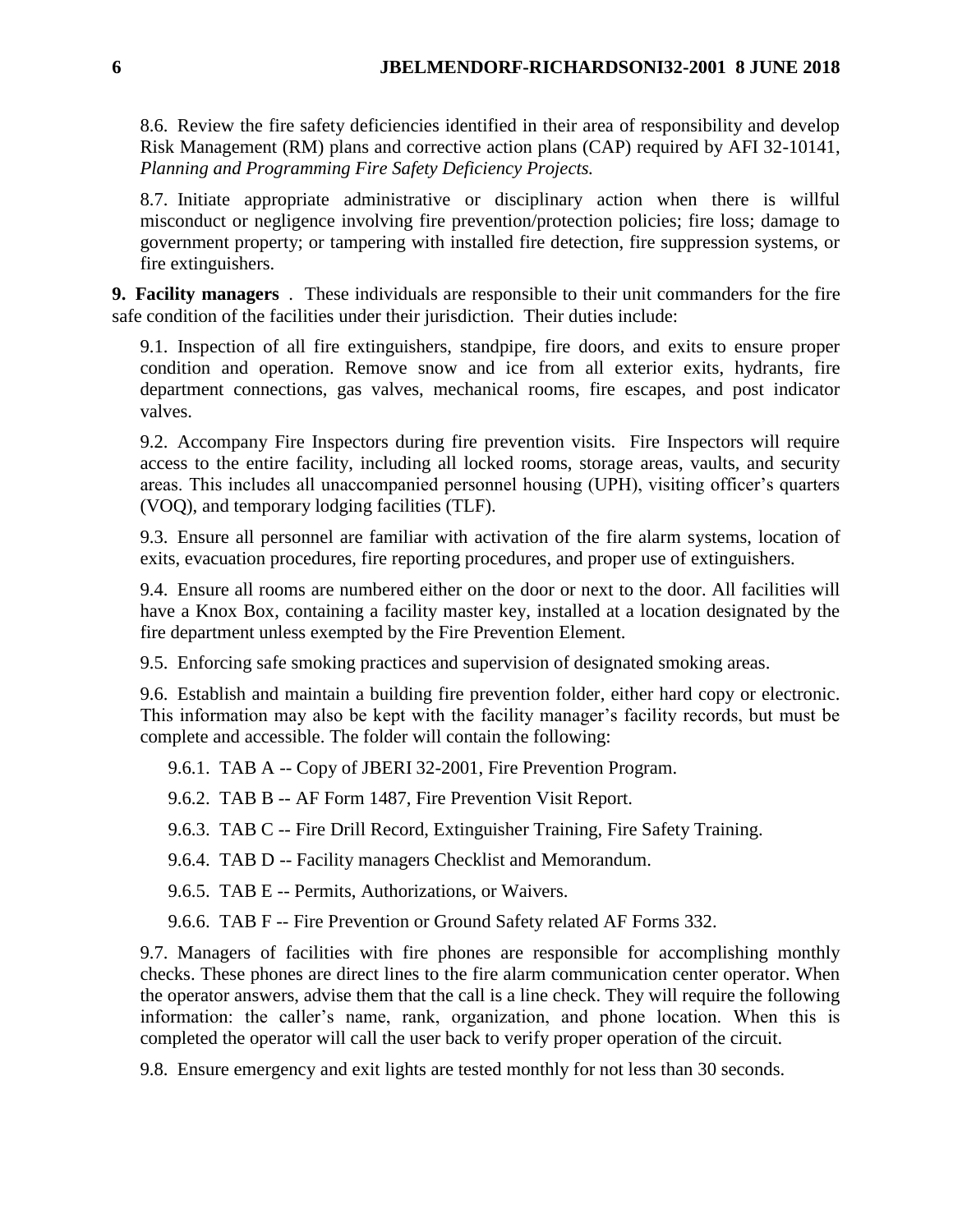8.6. Review the fire safety deficiencies identified in their area of responsibility and develop Risk Management (RM) plans and corrective action plans (CAP) required by AFI 32-10141, *Planning and Programming Fire Safety Deficiency Projects.*

8.7. Initiate appropriate administrative or disciplinary action when there is willful misconduct or negligence involving fire prevention/protection policies; fire loss; damage to government property; or tampering with installed fire detection, fire suppression systems, or fire extinguishers.

<span id="page-5-0"></span>**9. Facility managers** . These individuals are responsible to their unit commanders for the fire safe condition of the facilities under their jurisdiction. Their duties include:

9.1. Inspection of all fire extinguishers, standpipe, fire doors, and exits to ensure proper condition and operation. Remove snow and ice from all exterior exits, hydrants, fire department connections, gas valves, mechanical rooms, fire escapes, and post indicator valves.

9.2. Accompany Fire Inspectors during fire prevention visits. Fire Inspectors will require access to the entire facility, including all locked rooms, storage areas, vaults, and security areas. This includes all unaccompanied personnel housing (UPH), visiting officer's quarters (VOQ), and temporary lodging facilities (TLF).

9.3. Ensure all personnel are familiar with activation of the fire alarm systems, location of exits, evacuation procedures, fire reporting procedures, and proper use of extinguishers.

9.4. Ensure all rooms are numbered either on the door or next to the door. All facilities will have a Knox Box, containing a facility master key, installed at a location designated by the fire department unless exempted by the Fire Prevention Element.

9.5. Enforcing safe smoking practices and supervision of designated smoking areas.

9.6. Establish and maintain a building fire prevention folder, either hard copy or electronic. This information may also be kept with the facility manager's facility records, but must be complete and accessible. The folder will contain the following:

- 9.6.1. TAB A -- Copy of JBERI 32-2001, Fire Prevention Program.
- 9.6.2. TAB B -- AF Form 1487, Fire Prevention Visit Report.
- 9.6.3. TAB C -- Fire Drill Record, Extinguisher Training, Fire Safety Training.
- 9.6.4. TAB D -- Facility managers Checklist and Memorandum.

9.6.5. TAB E -- Permits, Authorizations, or Waivers.

9.6.6. TAB F -- Fire Prevention or Ground Safety related AF Forms 332.

9.7. Managers of facilities with fire phones are responsible for accomplishing monthly checks. These phones are direct lines to the fire alarm communication center operator. When the operator answers, advise them that the call is a line check. They will require the following information: the caller's name, rank, organization, and phone location. When this is completed the operator will call the user back to verify proper operation of the circuit.

9.8. Ensure emergency and exit lights are tested monthly for not less than 30 seconds.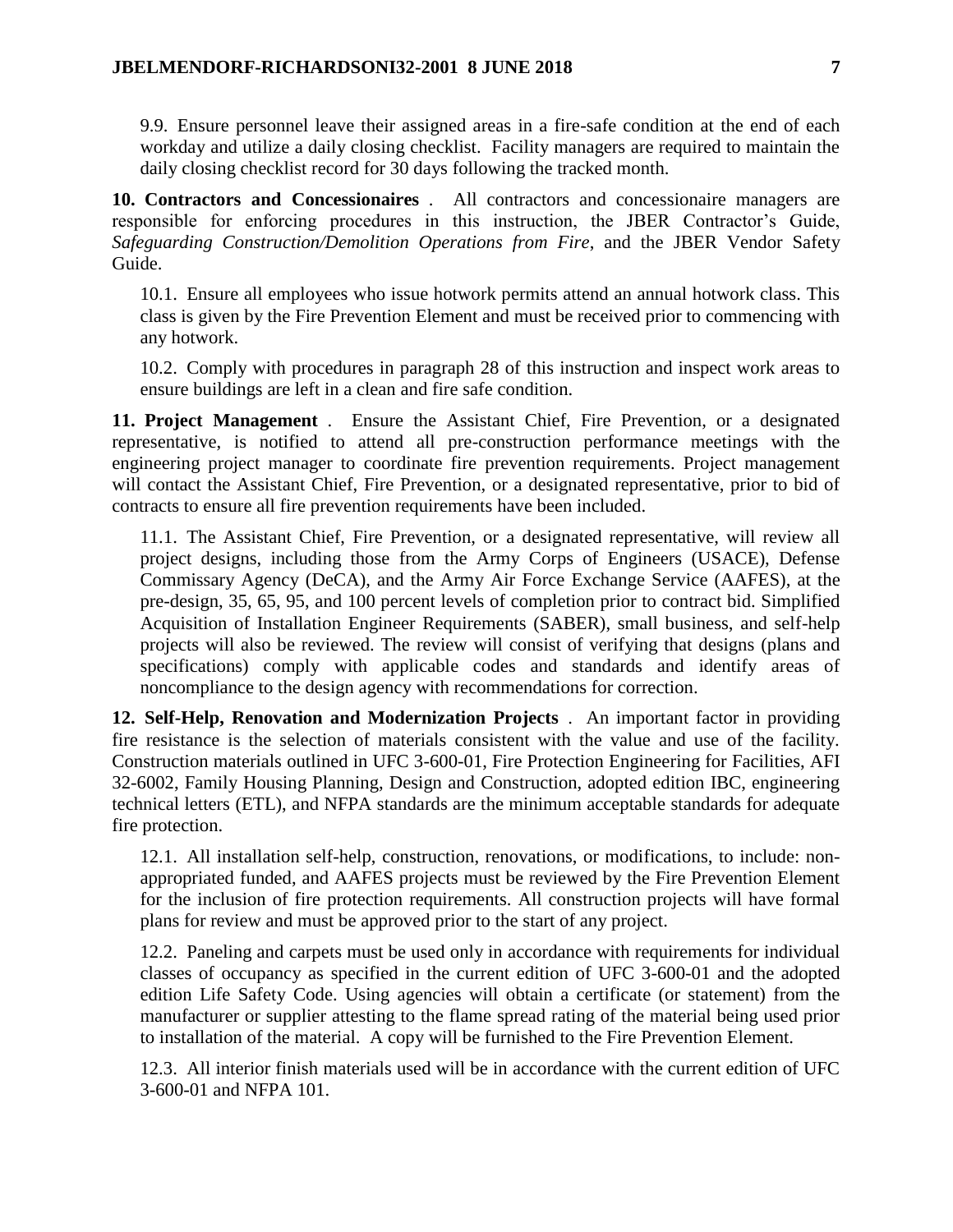9.9. Ensure personnel leave their assigned areas in a fire-safe condition at the end of each workday and utilize a daily closing checklist. Facility managers are required to maintain the daily closing checklist record for 30 days following the tracked month.

<span id="page-6-0"></span>**10. Contractors and Concessionaires** . All contractors and concessionaire managers are responsible for enforcing procedures in this instruction, the JBER Contractor's Guide, *Safeguarding Construction/Demolition Operations from Fire*, and the JBER Vendor Safety Guide.

10.1. Ensure all employees who issue hotwork permits attend an annual hotwork class. This class is given by the Fire Prevention Element and must be received prior to commencing with any hotwork.

10.2. Comply with procedures in paragraph 28 of this instruction and inspect work areas to ensure buildings are left in a clean and fire safe condition.

<span id="page-6-1"></span>**11. Project Management** . Ensure the Assistant Chief, Fire Prevention, or a designated representative, is notified to attend all pre-construction performance meetings with the engineering project manager to coordinate fire prevention requirements. Project management will contact the Assistant Chief, Fire Prevention, or a designated representative, prior to bid of contracts to ensure all fire prevention requirements have been included.

11.1. The Assistant Chief, Fire Prevention, or a designated representative, will review all project designs, including those from the Army Corps of Engineers (USACE), Defense Commissary Agency (DeCA), and the Army Air Force Exchange Service (AAFES), at the pre-design, 35, 65, 95, and 100 percent levels of completion prior to contract bid. Simplified Acquisition of Installation Engineer Requirements (SABER), small business, and self-help projects will also be reviewed. The review will consist of verifying that designs (plans and specifications) comply with applicable codes and standards and identify areas of noncompliance to the design agency with recommendations for correction.

<span id="page-6-2"></span>**12. Self-Help, Renovation and Modernization Projects** . An important factor in providing fire resistance is the selection of materials consistent with the value and use of the facility. Construction materials outlined in UFC 3-600-01, Fire Protection Engineering for Facilities, AFI 32-6002, Family Housing Planning, Design and Construction, adopted edition IBC, engineering technical letters (ETL), and NFPA standards are the minimum acceptable standards for adequate fire protection.

12.1. All installation self-help, construction, renovations, or modifications, to include: nonappropriated funded, and AAFES projects must be reviewed by the Fire Prevention Element for the inclusion of fire protection requirements. All construction projects will have formal plans for review and must be approved prior to the start of any project.

12.2. Paneling and carpets must be used only in accordance with requirements for individual classes of occupancy as specified in the current edition of UFC 3-600-01 and the adopted edition Life Safety Code. Using agencies will obtain a certificate (or statement) from the manufacturer or supplier attesting to the flame spread rating of the material being used prior to installation of the material. A copy will be furnished to the Fire Prevention Element.

12.3. All interior finish materials used will be in accordance with the current edition of UFC 3-600-01 and NFPA 101.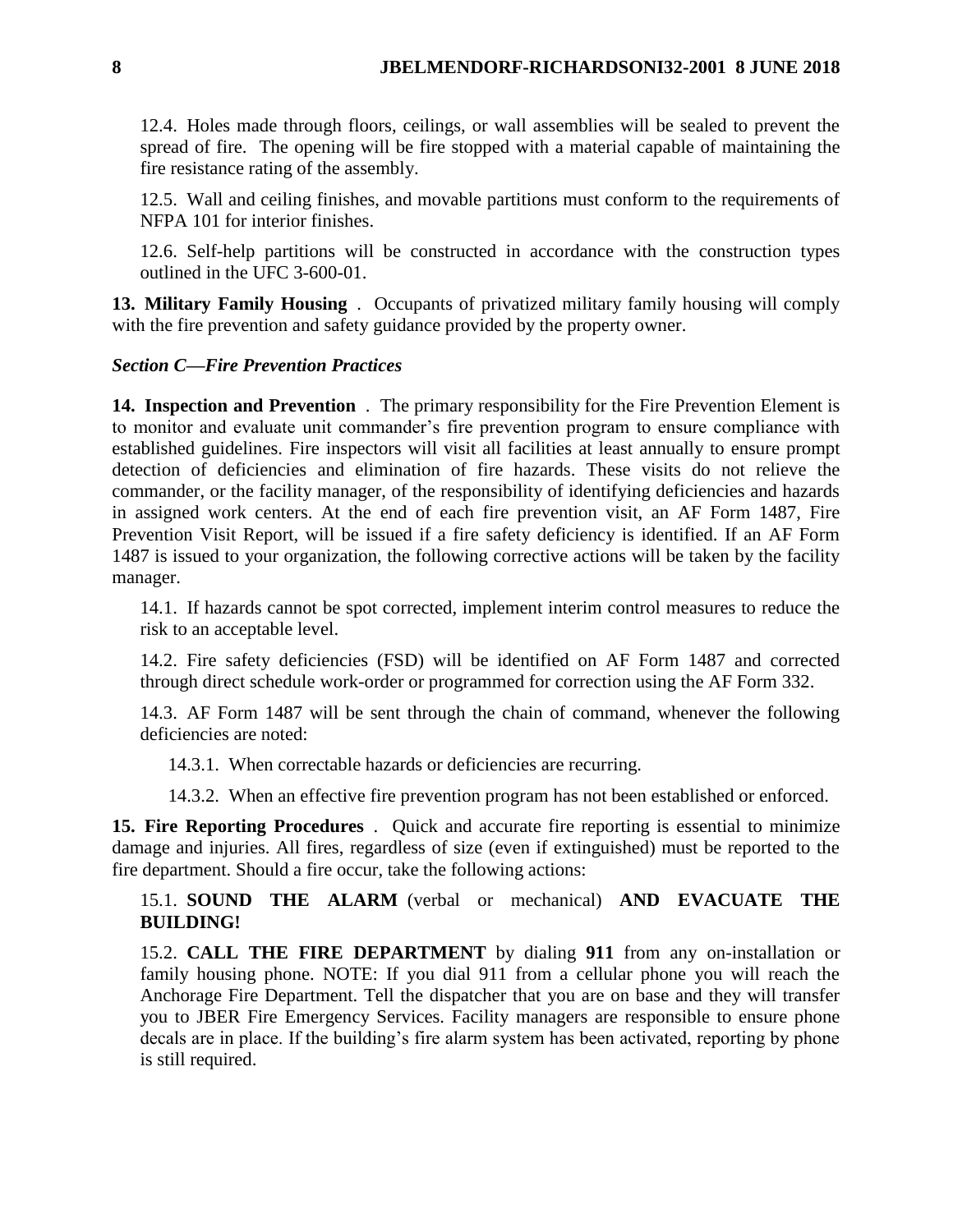12.4. Holes made through floors, ceilings, or wall assemblies will be sealed to prevent the spread of fire. The opening will be fire stopped with a material capable of maintaining the fire resistance rating of the assembly.

12.5. Wall and ceiling finishes, and movable partitions must conform to the requirements of NFPA 101 for interior finishes.

12.6. Self-help partitions will be constructed in accordance with the construction types outlined in the UFC 3-600-01.

<span id="page-7-0"></span>**13. Military Family Housing** . Occupants of privatized military family housing will comply with the fire prevention and safety guidance provided by the property owner.

## <span id="page-7-1"></span>*Section C—Fire Prevention Practices*

<span id="page-7-2"></span>**14. Inspection and Prevention** . The primary responsibility for the Fire Prevention Element is to monitor and evaluate unit commander's fire prevention program to ensure compliance with established guidelines. Fire inspectors will visit all facilities at least annually to ensure prompt detection of deficiencies and elimination of fire hazards. These visits do not relieve the commander, or the facility manager, of the responsibility of identifying deficiencies and hazards in assigned work centers. At the end of each fire prevention visit, an AF Form 1487, Fire Prevention Visit Report, will be issued if a fire safety deficiency is identified. If an AF Form 1487 is issued to your organization, the following corrective actions will be taken by the facility manager.

14.1. If hazards cannot be spot corrected, implement interim control measures to reduce the risk to an acceptable level.

14.2. Fire safety deficiencies (FSD) will be identified on AF Form 1487 and corrected through direct schedule work-order or programmed for correction using the AF Form 332.

14.3. AF Form 1487 will be sent through the chain of command, whenever the following deficiencies are noted:

14.3.1. When correctable hazards or deficiencies are recurring.

14.3.2. When an effective fire prevention program has not been established or enforced.

<span id="page-7-3"></span>**15. Fire Reporting Procedures** . Quick and accurate fire reporting is essential to minimize damage and injuries. All fires, regardless of size (even if extinguished) must be reported to the fire department. Should a fire occur, take the following actions:

15.1. **SOUND THE ALARM** (verbal or mechanical) **AND EVACUATE THE BUILDING!**

15.2. **CALL THE FIRE DEPARTMENT** by dialing **911** from any on-installation or family housing phone. NOTE: If you dial 911 from a cellular phone you will reach the Anchorage Fire Department. Tell the dispatcher that you are on base and they will transfer you to JBER Fire Emergency Services. Facility managers are responsible to ensure phone decals are in place. If the building's fire alarm system has been activated, reporting by phone is still required.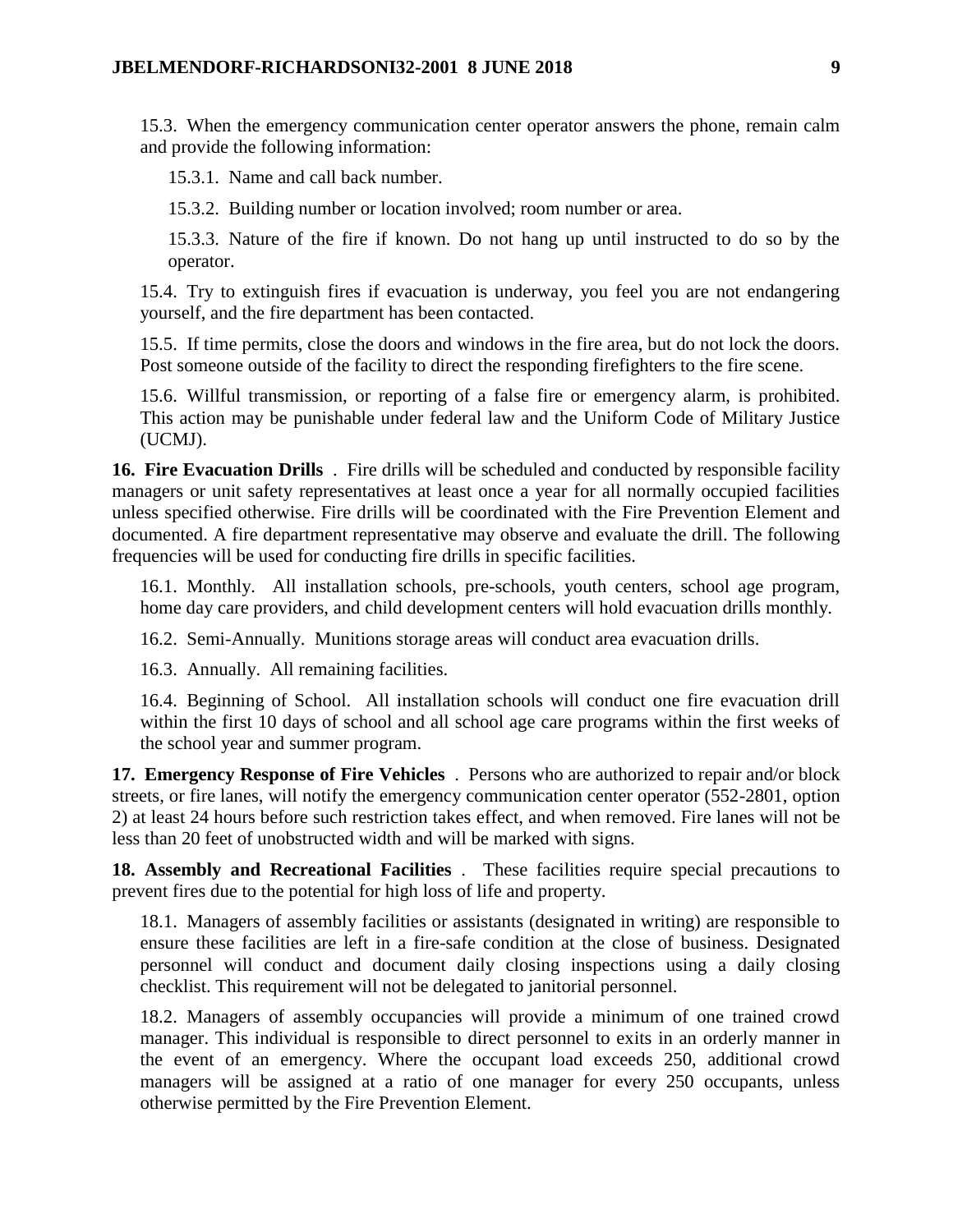15.3. When the emergency communication center operator answers the phone, remain calm and provide the following information:

15.3.1. Name and call back number.

15.3.2. Building number or location involved; room number or area.

15.3.3. Nature of the fire if known. Do not hang up until instructed to do so by the operator.

15.4. Try to extinguish fires if evacuation is underway, you feel you are not endangering yourself, and the fire department has been contacted.

15.5. If time permits, close the doors and windows in the fire area, but do not lock the doors. Post someone outside of the facility to direct the responding firefighters to the fire scene.

15.6. Willful transmission, or reporting of a false fire or emergency alarm, is prohibited. This action may be punishable under federal law and the Uniform Code of Military Justice (UCMJ).

<span id="page-8-0"></span>**16. Fire Evacuation Drills** . Fire drills will be scheduled and conducted by responsible facility managers or unit safety representatives at least once a year for all normally occupied facilities unless specified otherwise. Fire drills will be coordinated with the Fire Prevention Element and documented. A fire department representative may observe and evaluate the drill. The following frequencies will be used for conducting fire drills in specific facilities.

16.1. Monthly. All installation schools, pre-schools, youth centers, school age program, home day care providers, and child development centers will hold evacuation drills monthly.

16.2. Semi-Annually. Munitions storage areas will conduct area evacuation drills.

16.3. Annually. All remaining facilities.

16.4. Beginning of School. All installation schools will conduct one fire evacuation drill within the first 10 days of school and all school age care programs within the first weeks of the school year and summer program.

<span id="page-8-1"></span>**17. Emergency Response of Fire Vehicles** . Persons who are authorized to repair and/or block streets, or fire lanes, will notify the emergency communication center operator (552-2801, option 2) at least 24 hours before such restriction takes effect, and when removed. Fire lanes will not be less than 20 feet of unobstructed width and will be marked with signs.

<span id="page-8-2"></span>**18. Assembly and Recreational Facilities** . These facilities require special precautions to prevent fires due to the potential for high loss of life and property.

18.1. Managers of assembly facilities or assistants (designated in writing) are responsible to ensure these facilities are left in a fire-safe condition at the close of business. Designated personnel will conduct and document daily closing inspections using a daily closing checklist. This requirement will not be delegated to janitorial personnel.

18.2. Managers of assembly occupancies will provide a minimum of one trained crowd manager. This individual is responsible to direct personnel to exits in an orderly manner in the event of an emergency. Where the occupant load exceeds 250, additional crowd managers will be assigned at a ratio of one manager for every 250 occupants, unless otherwise permitted by the Fire Prevention Element.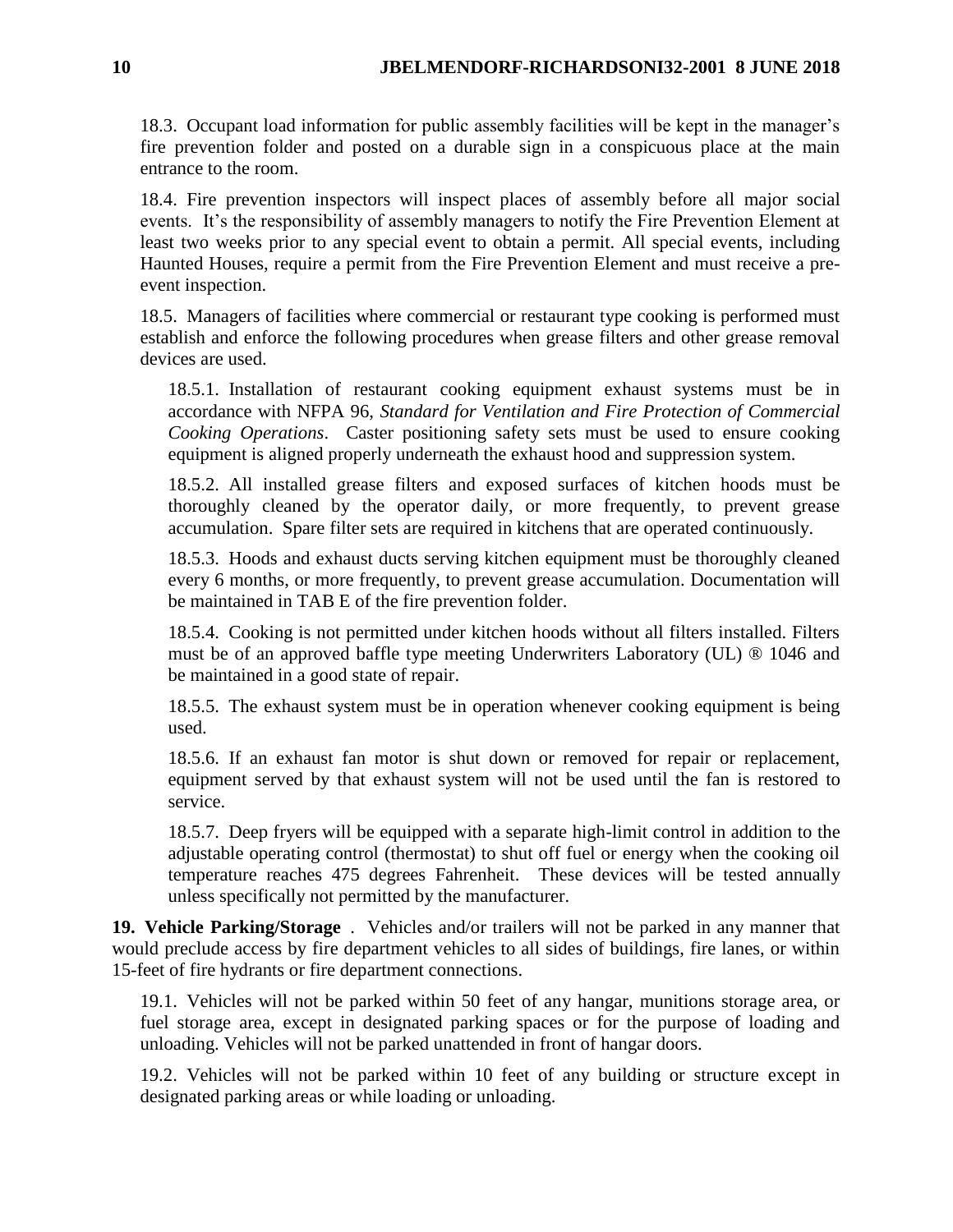18.3. Occupant load information for public assembly facilities will be kept in the manager's fire prevention folder and posted on a durable sign in a conspicuous place at the main entrance to the room.

18.4. Fire prevention inspectors will inspect places of assembly before all major social events. It's the responsibility of assembly managers to notify the Fire Prevention Element at least two weeks prior to any special event to obtain a permit. All special events, including Haunted Houses, require a permit from the Fire Prevention Element and must receive a preevent inspection.

18.5. Managers of facilities where commercial or restaurant type cooking is performed must establish and enforce the following procedures when grease filters and other grease removal devices are used.

18.5.1. Installation of restaurant cooking equipment exhaust systems must be in accordance with NFPA 96, *Standard for Ventilation and Fire Protection of Commercial Cooking Operations*. Caster positioning safety sets must be used to ensure cooking equipment is aligned properly underneath the exhaust hood and suppression system.

18.5.2. All installed grease filters and exposed surfaces of kitchen hoods must be thoroughly cleaned by the operator daily, or more frequently, to prevent grease accumulation. Spare filter sets are required in kitchens that are operated continuously.

18.5.3. Hoods and exhaust ducts serving kitchen equipment must be thoroughly cleaned every 6 months, or more frequently, to prevent grease accumulation. Documentation will be maintained in TAB E of the fire prevention folder.

18.5.4. Cooking is not permitted under kitchen hoods without all filters installed. Filters must be of an approved baffle type meeting Underwriters Laboratory (UL) ® 1046 and be maintained in a good state of repair.

18.5.5. The exhaust system must be in operation whenever cooking equipment is being used.

18.5.6. If an exhaust fan motor is shut down or removed for repair or replacement, equipment served by that exhaust system will not be used until the fan is restored to service.

18.5.7. Deep fryers will be equipped with a separate high-limit control in addition to the adjustable operating control (thermostat) to shut off fuel or energy when the cooking oil temperature reaches 475 degrees Fahrenheit. These devices will be tested annually unless specifically not permitted by the manufacturer.

<span id="page-9-0"></span>**19. Vehicle Parking/Storage** . Vehicles and/or trailers will not be parked in any manner that would preclude access by fire department vehicles to all sides of buildings, fire lanes, or within 15-feet of fire hydrants or fire department connections.

19.1. Vehicles will not be parked within 50 feet of any hangar, munitions storage area, or fuel storage area, except in designated parking spaces or for the purpose of loading and unloading. Vehicles will not be parked unattended in front of hangar doors.

19.2. Vehicles will not be parked within 10 feet of any building or structure except in designated parking areas or while loading or unloading.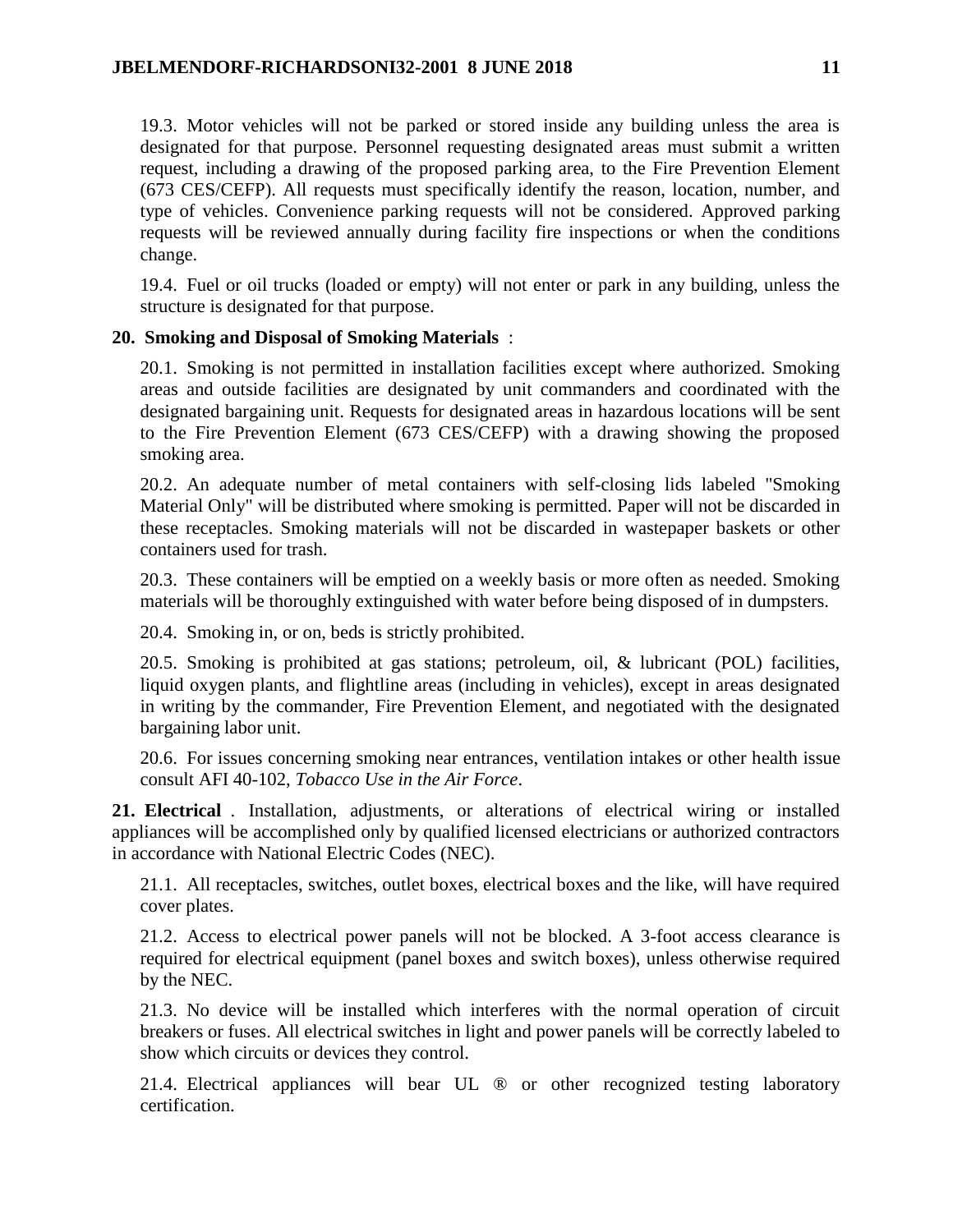19.3. Motor vehicles will not be parked or stored inside any building unless the area is designated for that purpose. Personnel requesting designated areas must submit a written request, including a drawing of the proposed parking area, to the Fire Prevention Element (673 CES/CEFP). All requests must specifically identify the reason, location, number, and type of vehicles. Convenience parking requests will not be considered. Approved parking requests will be reviewed annually during facility fire inspections or when the conditions change.

19.4. Fuel or oil trucks (loaded or empty) will not enter or park in any building, unless the structure is designated for that purpose.

#### <span id="page-10-0"></span>**20. Smoking and Disposal of Smoking Materials** :

20.1. Smoking is not permitted in installation facilities except where authorized. Smoking areas and outside facilities are designated by unit commanders and coordinated with the designated bargaining unit. Requests for designated areas in hazardous locations will be sent to the Fire Prevention Element (673 CES/CEFP) with a drawing showing the proposed smoking area.

20.2. An adequate number of metal containers with self-closing lids labeled "Smoking Material Only" will be distributed where smoking is permitted. Paper will not be discarded in these receptacles. Smoking materials will not be discarded in wastepaper baskets or other containers used for trash.

20.3. These containers will be emptied on a weekly basis or more often as needed. Smoking materials will be thoroughly extinguished with water before being disposed of in dumpsters.

20.4. Smoking in, or on, beds is strictly prohibited.

20.5. Smoking is prohibited at gas stations; petroleum, oil, & lubricant (POL) facilities, liquid oxygen plants, and flightline areas (including in vehicles), except in areas designated in writing by the commander, Fire Prevention Element, and negotiated with the designated bargaining labor unit.

20.6. For issues concerning smoking near entrances, ventilation intakes or other health issue consult AFI 40-102, *Tobacco Use in the Air Force*.

<span id="page-10-1"></span>**21. Electrical** . Installation, adjustments, or alterations of electrical wiring or installed appliances will be accomplished only by qualified licensed electricians or authorized contractors in accordance with National Electric Codes (NEC).

21.1. All receptacles, switches, outlet boxes, electrical boxes and the like, will have required cover plates.

21.2. Access to electrical power panels will not be blocked. A 3-foot access clearance is required for electrical equipment (panel boxes and switch boxes), unless otherwise required by the NEC.

21.3. No device will be installed which interferes with the normal operation of circuit breakers or fuses. All electrical switches in light and power panels will be correctly labeled to show which circuits or devices they control.

21.4. Electrical appliances will bear UL ® or other recognized testing laboratory certification.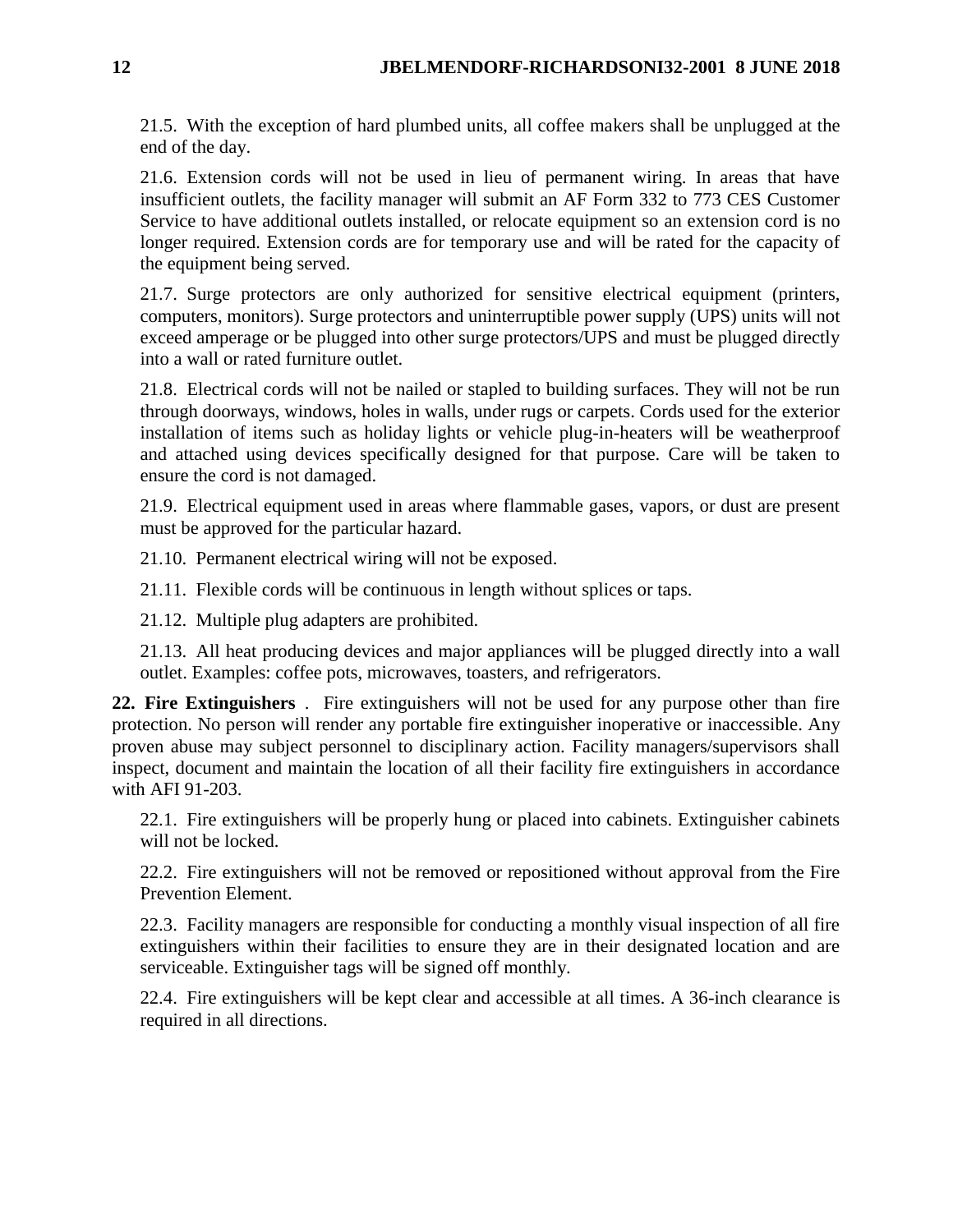21.5. With the exception of hard plumbed units, all coffee makers shall be unplugged at the end of the day.

21.6. Extension cords will not be used in lieu of permanent wiring. In areas that have insufficient outlets, the facility manager will submit an AF Form 332 to 773 CES Customer Service to have additional outlets installed, or relocate equipment so an extension cord is no longer required. Extension cords are for temporary use and will be rated for the capacity of the equipment being served.

21.7. Surge protectors are only authorized for sensitive electrical equipment (printers, computers, monitors). Surge protectors and uninterruptible power supply (UPS) units will not exceed amperage or be plugged into other surge protectors/UPS and must be plugged directly into a wall or rated furniture outlet.

21.8. Electrical cords will not be nailed or stapled to building surfaces. They will not be run through doorways, windows, holes in walls, under rugs or carpets. Cords used for the exterior installation of items such as holiday lights or vehicle plug-in-heaters will be weatherproof and attached using devices specifically designed for that purpose. Care will be taken to ensure the cord is not damaged.

21.9. Electrical equipment used in areas where flammable gases, vapors, or dust are present must be approved for the particular hazard.

21.10. Permanent electrical wiring will not be exposed.

21.11. Flexible cords will be continuous in length without splices or taps.

21.12. Multiple plug adapters are prohibited.

21.13. All heat producing devices and major appliances will be plugged directly into a wall outlet. Examples: coffee pots, microwaves, toasters, and refrigerators.

<span id="page-11-0"></span>**22. Fire Extinguishers** . Fire extinguishers will not be used for any purpose other than fire protection. No person will render any portable fire extinguisher inoperative or inaccessible. Any proven abuse may subject personnel to disciplinary action. Facility managers/supervisors shall inspect, document and maintain the location of all their facility fire extinguishers in accordance with AFI 91-203.

22.1. Fire extinguishers will be properly hung or placed into cabinets. Extinguisher cabinets will not be locked.

22.2. Fire extinguishers will not be removed or repositioned without approval from the Fire Prevention Element.

22.3. Facility managers are responsible for conducting a monthly visual inspection of all fire extinguishers within their facilities to ensure they are in their designated location and are serviceable. Extinguisher tags will be signed off monthly.

22.4. Fire extinguishers will be kept clear and accessible at all times. A 36-inch clearance is required in all directions.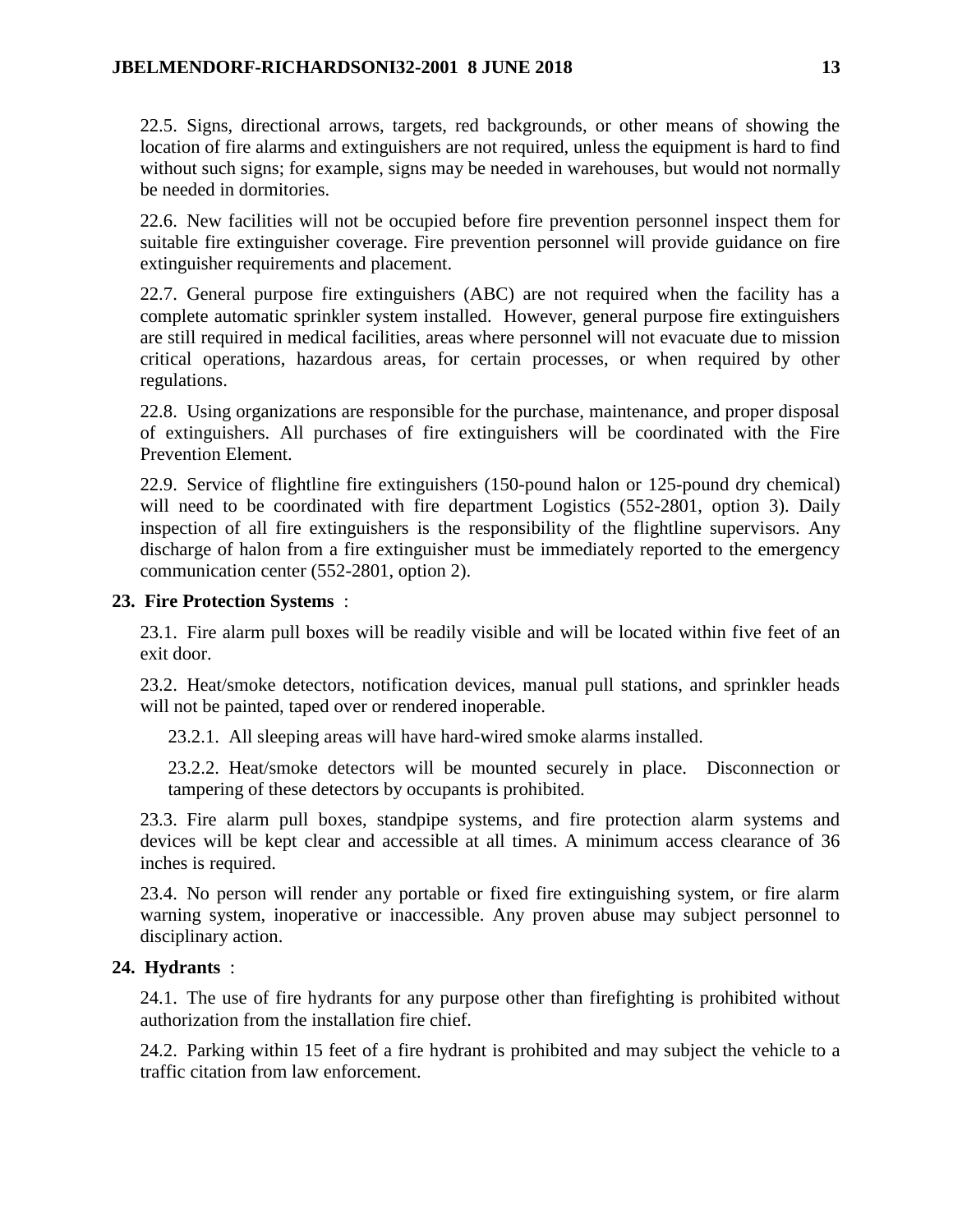22.5. Signs, directional arrows, targets, red backgrounds, or other means of showing the location of fire alarms and extinguishers are not required, unless the equipment is hard to find without such signs; for example, signs may be needed in warehouses, but would not normally be needed in dormitories.

22.6. New facilities will not be occupied before fire prevention personnel inspect them for suitable fire extinguisher coverage. Fire prevention personnel will provide guidance on fire extinguisher requirements and placement.

22.7. General purpose fire extinguishers (ABC) are not required when the facility has a complete automatic sprinkler system installed. However, general purpose fire extinguishers are still required in medical facilities, areas where personnel will not evacuate due to mission critical operations, hazardous areas, for certain processes, or when required by other regulations.

22.8. Using organizations are responsible for the purchase, maintenance, and proper disposal of extinguishers. All purchases of fire extinguishers will be coordinated with the Fire Prevention Element.

22.9. Service of flightline fire extinguishers (150-pound halon or 125-pound dry chemical) will need to be coordinated with fire department Logistics (552-2801, option 3). Daily inspection of all fire extinguishers is the responsibility of the flightline supervisors. Any discharge of halon from a fire extinguisher must be immediately reported to the emergency communication center (552-2801, option 2).

#### <span id="page-12-0"></span>**23. Fire Protection Systems** :

23.1. Fire alarm pull boxes will be readily visible and will be located within five feet of an exit door.

23.2. Heat/smoke detectors, notification devices, manual pull stations, and sprinkler heads will not be painted, taped over or rendered inoperable.

23.2.1. All sleeping areas will have hard-wired smoke alarms installed.

23.2.2. Heat/smoke detectors will be mounted securely in place. Disconnection or tampering of these detectors by occupants is prohibited.

23.3. Fire alarm pull boxes, standpipe systems, and fire protection alarm systems and devices will be kept clear and accessible at all times. A minimum access clearance of 36 inches is required.

23.4. No person will render any portable or fixed fire extinguishing system, or fire alarm warning system, inoperative or inaccessible. Any proven abuse may subject personnel to disciplinary action.

## <span id="page-12-1"></span>**24. Hydrants** :

24.1. The use of fire hydrants for any purpose other than firefighting is prohibited without authorization from the installation fire chief.

24.2. Parking within 15 feet of a fire hydrant is prohibited and may subject the vehicle to a traffic citation from law enforcement.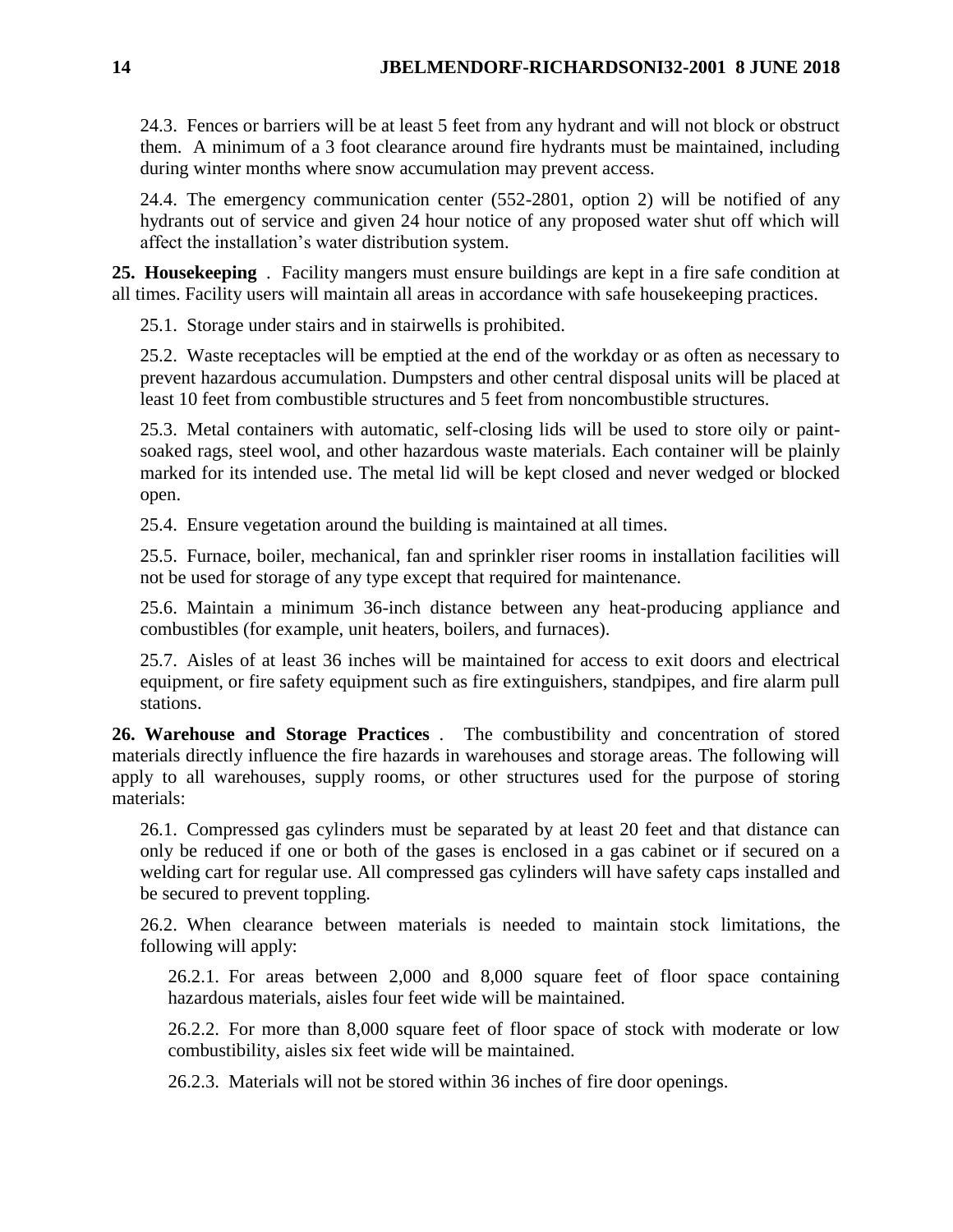24.3. Fences or barriers will be at least 5 feet from any hydrant and will not block or obstruct them. A minimum of a 3 foot clearance around fire hydrants must be maintained, including during winter months where snow accumulation may prevent access.

24.4. The emergency communication center (552-2801, option 2) will be notified of any hydrants out of service and given 24 hour notice of any proposed water shut off which will affect the installation's water distribution system.

<span id="page-13-0"></span>**25. Housekeeping** . Facility mangers must ensure buildings are kept in a fire safe condition at all times. Facility users will maintain all areas in accordance with safe housekeeping practices.

25.1. Storage under stairs and in stairwells is prohibited.

25.2. Waste receptacles will be emptied at the end of the workday or as often as necessary to prevent hazardous accumulation. Dumpsters and other central disposal units will be placed at least 10 feet from combustible structures and 5 feet from noncombustible structures.

25.3. Metal containers with automatic, self-closing lids will be used to store oily or paintsoaked rags, steel wool, and other hazardous waste materials. Each container will be plainly marked for its intended use. The metal lid will be kept closed and never wedged or blocked open.

25.4. Ensure vegetation around the building is maintained at all times.

25.5. Furnace, boiler, mechanical, fan and sprinkler riser rooms in installation facilities will not be used for storage of any type except that required for maintenance.

25.6. Maintain a minimum 36-inch distance between any heat-producing appliance and combustibles (for example, unit heaters, boilers, and furnaces).

25.7. Aisles of at least 36 inches will be maintained for access to exit doors and electrical equipment, or fire safety equipment such as fire extinguishers, standpipes, and fire alarm pull stations.

<span id="page-13-1"></span>**26. Warehouse and Storage Practices** . The combustibility and concentration of stored materials directly influence the fire hazards in warehouses and storage areas. The following will apply to all warehouses, supply rooms, or other structures used for the purpose of storing materials:

26.1. Compressed gas cylinders must be separated by at least 20 feet and that distance can only be reduced if one or both of the gases is enclosed in a gas cabinet or if secured on a welding cart for regular use. All compressed gas cylinders will have safety caps installed and be secured to prevent toppling.

26.2. When clearance between materials is needed to maintain stock limitations, the following will apply:

26.2.1. For areas between 2,000 and 8,000 square feet of floor space containing hazardous materials, aisles four feet wide will be maintained.

26.2.2. For more than 8,000 square feet of floor space of stock with moderate or low combustibility, aisles six feet wide will be maintained.

26.2.3. Materials will not be stored within 36 inches of fire door openings.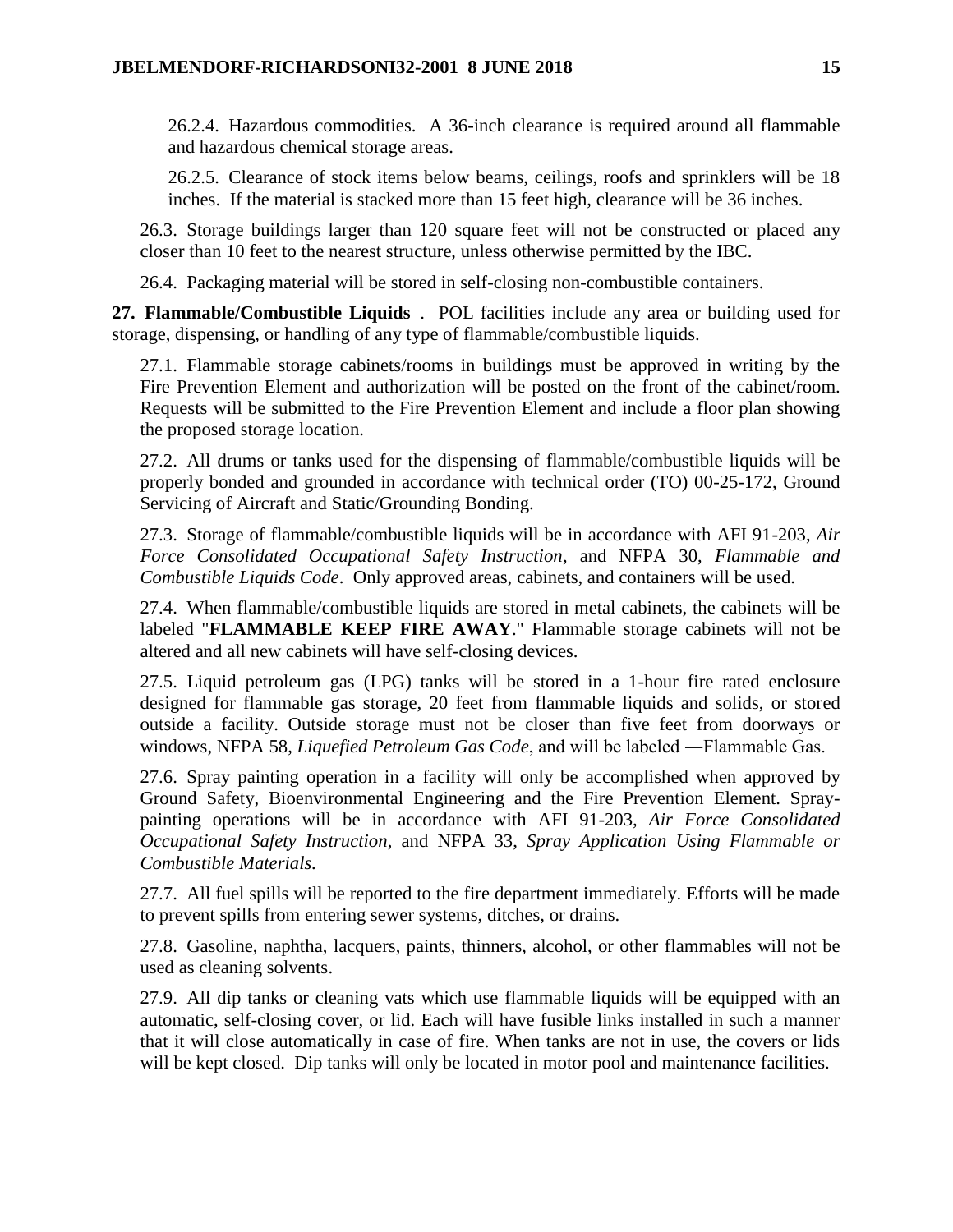26.2.4. Hazardous commodities. A 36-inch clearance is required around all flammable and hazardous chemical storage areas.

26.2.5. Clearance of stock items below beams, ceilings, roofs and sprinklers will be 18 inches. If the material is stacked more than 15 feet high, clearance will be 36 inches.

26.3. Storage buildings larger than 120 square feet will not be constructed or placed any closer than 10 feet to the nearest structure, unless otherwise permitted by the IBC.

26.4. Packaging material will be stored in self-closing non-combustible containers.

<span id="page-14-0"></span>**27. Flammable/Combustible Liquids** . POL facilities include any area or building used for storage, dispensing, or handling of any type of flammable/combustible liquids.

27.1. Flammable storage cabinets/rooms in buildings must be approved in writing by the Fire Prevention Element and authorization will be posted on the front of the cabinet/room. Requests will be submitted to the Fire Prevention Element and include a floor plan showing the proposed storage location.

27.2. All drums or tanks used for the dispensing of flammable/combustible liquids will be properly bonded and grounded in accordance with technical order (TO) 00-25-172, Ground Servicing of Aircraft and Static/Grounding Bonding.

27.3. Storage of flammable/combustible liquids will be in accordance with AFI 91-203, *Air Force Consolidated Occupational Safety Instruction*, and NFPA 30, *Flammable and Combustible Liquids Code*. Only approved areas, cabinets, and containers will be used.

27.4. When flammable/combustible liquids are stored in metal cabinets, the cabinets will be labeled "**FLAMMABLE KEEP FIRE AWAY**." Flammable storage cabinets will not be altered and all new cabinets will have self-closing devices.

27.5. Liquid petroleum gas (LPG) tanks will be stored in a 1-hour fire rated enclosure designed for flammable gas storage, 20 feet from flammable liquids and solids, or stored outside a facility. Outside storage must not be closer than five feet from doorways or windows, NFPA 58, *Liquefied Petroleum Gas Code*, and will be labeled ―Flammable Gas.

27.6. Spray painting operation in a facility will only be accomplished when approved by Ground Safety, Bioenvironmental Engineering and the Fire Prevention Element. Spraypainting operations will be in accordance with AFI 91-203*, Air Force Consolidated Occupational Safety Instruction*, and NFPA 33, *Spray Application Using Flammable or Combustible Materials.*

27.7. All fuel spills will be reported to the fire department immediately. Efforts will be made to prevent spills from entering sewer systems, ditches, or drains.

27.8. Gasoline, naphtha, lacquers, paints, thinners, alcohol, or other flammables will not be used as cleaning solvents.

27.9. All dip tanks or cleaning vats which use flammable liquids will be equipped with an automatic, self-closing cover, or lid. Each will have fusible links installed in such a manner that it will close automatically in case of fire. When tanks are not in use, the covers or lids will be kept closed. Dip tanks will only be located in motor pool and maintenance facilities.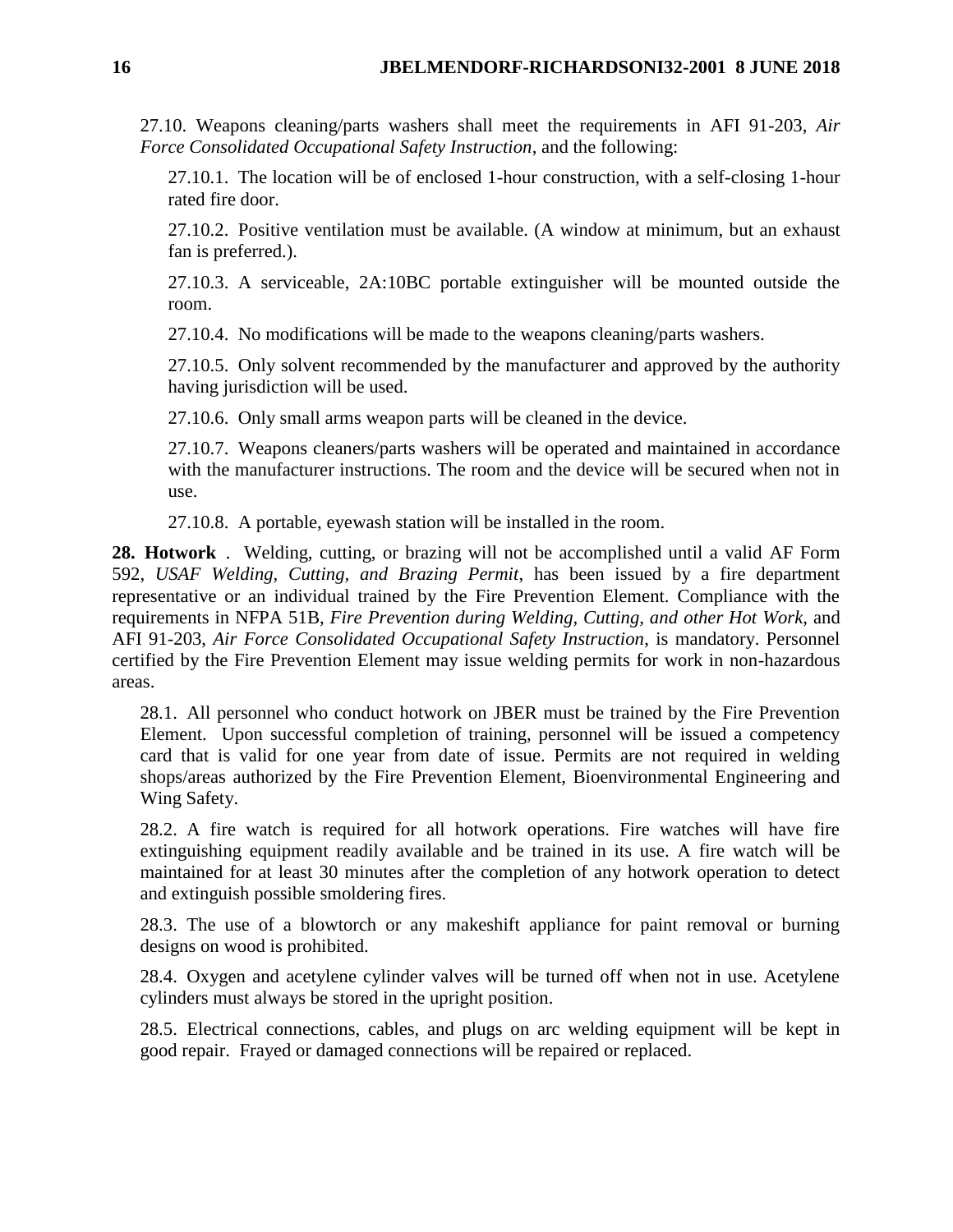27.10. Weapons cleaning/parts washers shall meet the requirements in AFI 91-203, *Air Force Consolidated Occupational Safety Instruction*, and the following:

27.10.1. The location will be of enclosed 1-hour construction, with a self-closing 1-hour rated fire door.

27.10.2. Positive ventilation must be available. (A window at minimum, but an exhaust fan is preferred.).

27.10.3. A serviceable, 2A:10BC portable extinguisher will be mounted outside the room.

27.10.4. No modifications will be made to the weapons cleaning/parts washers.

27.10.5. Only solvent recommended by the manufacturer and approved by the authority having jurisdiction will be used.

27.10.6. Only small arms weapon parts will be cleaned in the device.

27.10.7. Weapons cleaners/parts washers will be operated and maintained in accordance with the manufacturer instructions. The room and the device will be secured when not in use.

27.10.8. A portable, eyewash station will be installed in the room.

<span id="page-15-0"></span>**28. Hotwork** . Welding, cutting, or brazing will not be accomplished until a valid AF Form 592, *USAF Welding, Cutting, and Brazing Permit*, has been issued by a fire department representative or an individual trained by the Fire Prevention Element. Compliance with the requirements in NFPA 51B, *Fire Prevention during Welding, Cutting, and other Hot Work*, and AFI 91-203, *Air Force Consolidated Occupational Safety Instruction*, is mandatory. Personnel certified by the Fire Prevention Element may issue welding permits for work in non-hazardous areas.

28.1. All personnel who conduct hotwork on JBER must be trained by the Fire Prevention Element. Upon successful completion of training, personnel will be issued a competency card that is valid for one year from date of issue. Permits are not required in welding shops/areas authorized by the Fire Prevention Element, Bioenvironmental Engineering and Wing Safety.

28.2. A fire watch is required for all hotwork operations. Fire watches will have fire extinguishing equipment readily available and be trained in its use. A fire watch will be maintained for at least 30 minutes after the completion of any hotwork operation to detect and extinguish possible smoldering fires.

28.3. The use of a blowtorch or any makeshift appliance for paint removal or burning designs on wood is prohibited.

28.4. Oxygen and acetylene cylinder valves will be turned off when not in use. Acetylene cylinders must always be stored in the upright position.

28.5. Electrical connections, cables, and plugs on arc welding equipment will be kept in good repair. Frayed or damaged connections will be repaired or replaced.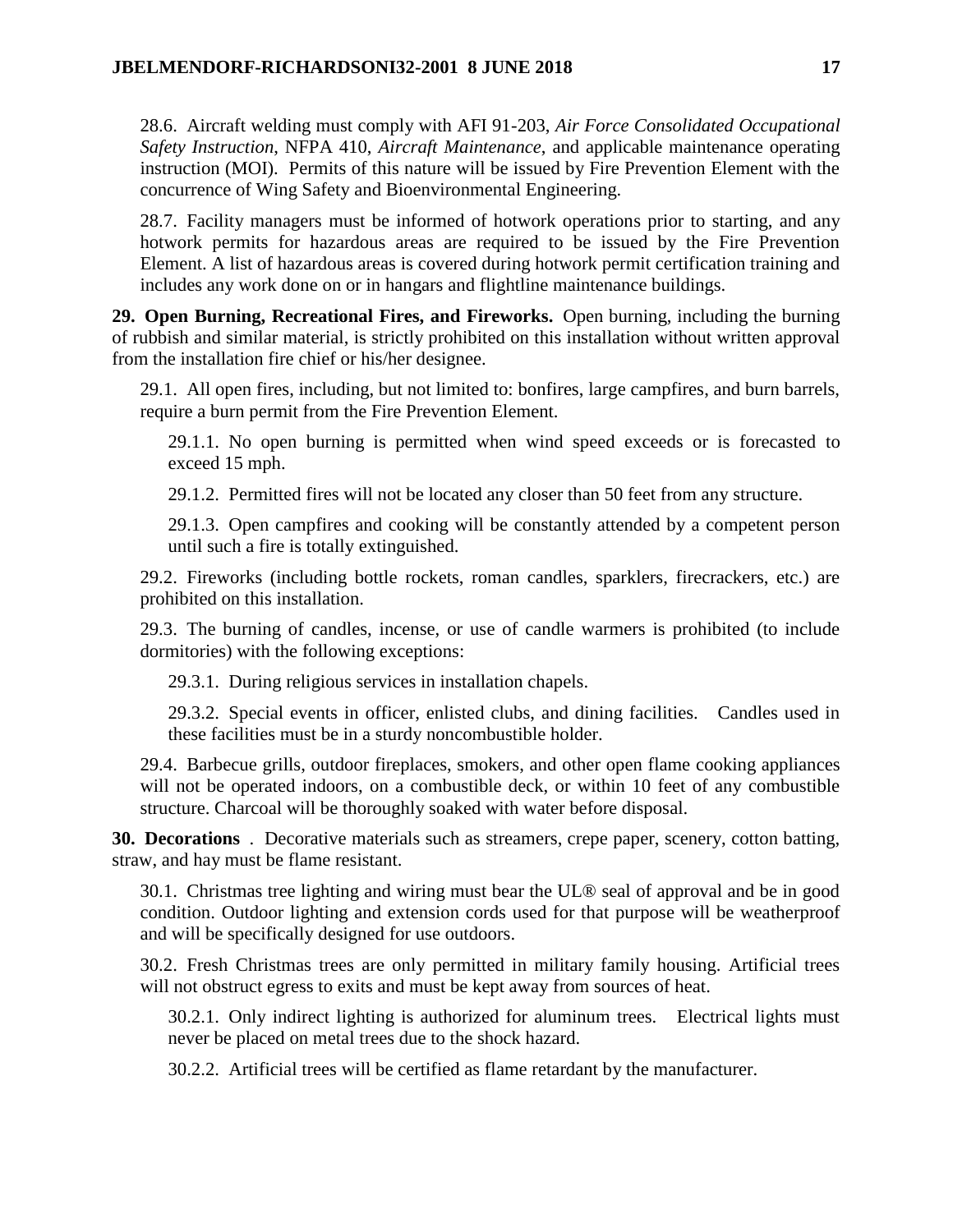28.6. Aircraft welding must comply with AFI 91-203, *Air Force Consolidated Occupational Safety Instruction*, NFPA 410, *Aircraft Maintenance*, and applicable maintenance operating instruction (MOI). Permits of this nature will be issued by Fire Prevention Element with the concurrence of Wing Safety and Bioenvironmental Engineering.

28.7. Facility managers must be informed of hotwork operations prior to starting, and any hotwork permits for hazardous areas are required to be issued by the Fire Prevention Element. A list of hazardous areas is covered during hotwork permit certification training and includes any work done on or in hangars and flightline maintenance buildings.

<span id="page-16-0"></span>**29. Open Burning, Recreational Fires, and Fireworks.** Open burning, including the burning of rubbish and similar material, is strictly prohibited on this installation without written approval from the installation fire chief or his/her designee.

29.1. All open fires, including, but not limited to: bonfires, large campfires, and burn barrels, require a burn permit from the Fire Prevention Element.

29.1.1. No open burning is permitted when wind speed exceeds or is forecasted to exceed 15 mph.

29.1.2. Permitted fires will not be located any closer than 50 feet from any structure.

29.1.3. Open campfires and cooking will be constantly attended by a competent person until such a fire is totally extinguished.

29.2. Fireworks (including bottle rockets, roman candles, sparklers, firecrackers, etc.) are prohibited on this installation.

29.3. The burning of candles, incense, or use of candle warmers is prohibited (to include dormitories) with the following exceptions:

29.3.1. During religious services in installation chapels.

29.3.2. Special events in officer, enlisted clubs, and dining facilities. Candles used in these facilities must be in a sturdy noncombustible holder.

29.4. Barbecue grills, outdoor fireplaces, smokers, and other open flame cooking appliances will not be operated indoors, on a combustible deck, or within 10 feet of any combustible structure. Charcoal will be thoroughly soaked with water before disposal.

<span id="page-16-1"></span>**30. Decorations** . Decorative materials such as streamers, crepe paper, scenery, cotton batting, straw, and hay must be flame resistant.

30.1. Christmas tree lighting and wiring must bear the UL® seal of approval and be in good condition. Outdoor lighting and extension cords used for that purpose will be weatherproof and will be specifically designed for use outdoors.

30.2. Fresh Christmas trees are only permitted in military family housing. Artificial trees will not obstruct egress to exits and must be kept away from sources of heat.

30.2.1. Only indirect lighting is authorized for aluminum trees. Electrical lights must never be placed on metal trees due to the shock hazard.

30.2.2. Artificial trees will be certified as flame retardant by the manufacturer.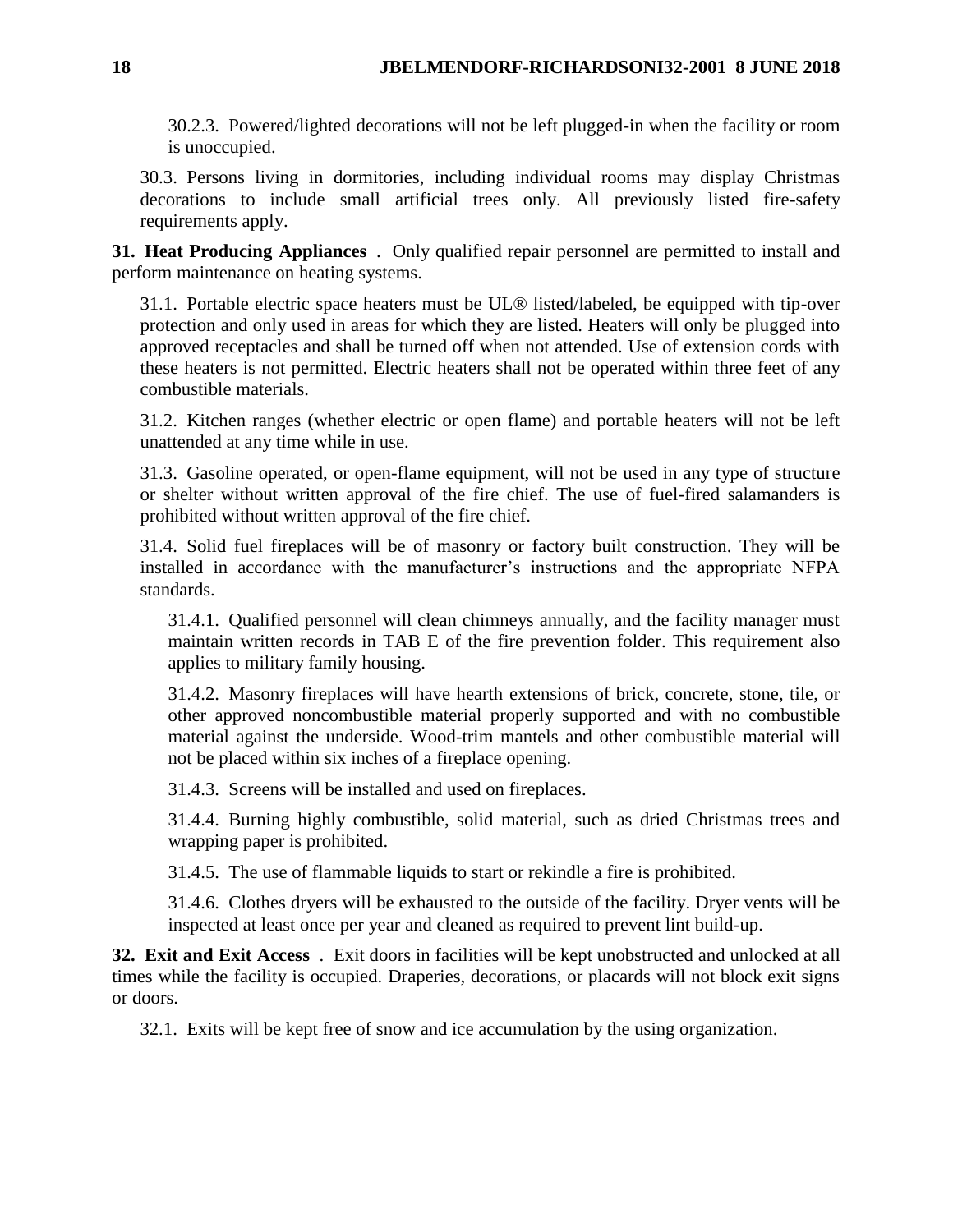30.2.3. Powered/lighted decorations will not be left plugged-in when the facility or room is unoccupied.

30.3. Persons living in dormitories, including individual rooms may display Christmas decorations to include small artificial trees only. All previously listed fire-safety requirements apply.

<span id="page-17-0"></span>**31. Heat Producing Appliances** . Only qualified repair personnel are permitted to install and perform maintenance on heating systems.

31.1. Portable electric space heaters must be UL® listed/labeled, be equipped with tip-over protection and only used in areas for which they are listed. Heaters will only be plugged into approved receptacles and shall be turned off when not attended. Use of extension cords with these heaters is not permitted. Electric heaters shall not be operated within three feet of any combustible materials.

31.2. Kitchen ranges (whether electric or open flame) and portable heaters will not be left unattended at any time while in use.

31.3. Gasoline operated, or open-flame equipment, will not be used in any type of structure or shelter without written approval of the fire chief. The use of fuel-fired salamanders is prohibited without written approval of the fire chief.

31.4. Solid fuel fireplaces will be of masonry or factory built construction. They will be installed in accordance with the manufacturer's instructions and the appropriate NFPA standards.

31.4.1. Qualified personnel will clean chimneys annually, and the facility manager must maintain written records in TAB E of the fire prevention folder. This requirement also applies to military family housing.

31.4.2. Masonry fireplaces will have hearth extensions of brick, concrete, stone, tile, or other approved noncombustible material properly supported and with no combustible material against the underside. Wood-trim mantels and other combustible material will not be placed within six inches of a fireplace opening.

31.4.3. Screens will be installed and used on fireplaces.

31.4.4. Burning highly combustible, solid material, such as dried Christmas trees and wrapping paper is prohibited.

31.4.5. The use of flammable liquids to start or rekindle a fire is prohibited.

31.4.6. Clothes dryers will be exhausted to the outside of the facility. Dryer vents will be inspected at least once per year and cleaned as required to prevent lint build-up.

<span id="page-17-1"></span>**32. Exit and Exit Access** . Exit doors in facilities will be kept unobstructed and unlocked at all times while the facility is occupied. Draperies, decorations, or placards will not block exit signs or doors.

32.1. Exits will be kept free of snow and ice accumulation by the using organization.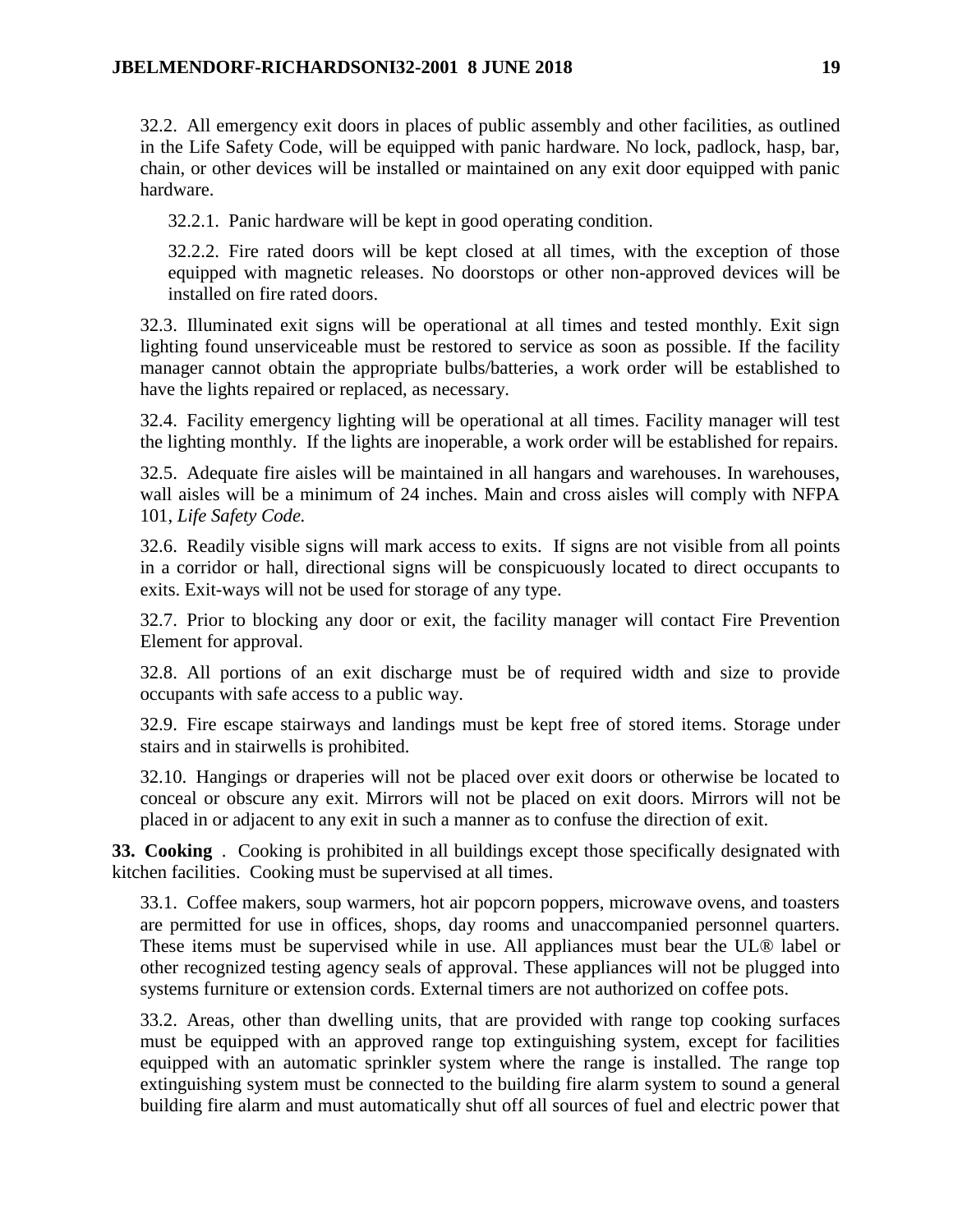32.2. All emergency exit doors in places of public assembly and other facilities, as outlined in the Life Safety Code, will be equipped with panic hardware. No lock, padlock, hasp, bar, chain, or other devices will be installed or maintained on any exit door equipped with panic hardware.

32.2.1. Panic hardware will be kept in good operating condition.

32.2.2. Fire rated doors will be kept closed at all times, with the exception of those equipped with magnetic releases. No doorstops or other non-approved devices will be installed on fire rated doors.

32.3. Illuminated exit signs will be operational at all times and tested monthly. Exit sign lighting found unserviceable must be restored to service as soon as possible. If the facility manager cannot obtain the appropriate bulbs/batteries, a work order will be established to have the lights repaired or replaced, as necessary.

32.4. Facility emergency lighting will be operational at all times. Facility manager will test the lighting monthly. If the lights are inoperable, a work order will be established for repairs.

32.5. Adequate fire aisles will be maintained in all hangars and warehouses. In warehouses, wall aisles will be a minimum of 24 inches. Main and cross aisles will comply with NFPA 101, *Life Safety Code.*

32.6. Readily visible signs will mark access to exits. If signs are not visible from all points in a corridor or hall, directional signs will be conspicuously located to direct occupants to exits. Exit-ways will not be used for storage of any type.

32.7. Prior to blocking any door or exit, the facility manager will contact Fire Prevention Element for approval.

32.8. All portions of an exit discharge must be of required width and size to provide occupants with safe access to a public way.

32.9. Fire escape stairways and landings must be kept free of stored items. Storage under stairs and in stairwells is prohibited.

32.10. Hangings or draperies will not be placed over exit doors or otherwise be located to conceal or obscure any exit. Mirrors will not be placed on exit doors. Mirrors will not be placed in or adjacent to any exit in such a manner as to confuse the direction of exit.

<span id="page-18-0"></span>**33. Cooking** . Cooking is prohibited in all buildings except those specifically designated with kitchen facilities. Cooking must be supervised at all times.

33.1. Coffee makers, soup warmers, hot air popcorn poppers, microwave ovens, and toasters are permitted for use in offices, shops, day rooms and unaccompanied personnel quarters. These items must be supervised while in use. All appliances must bear the UL® label or other recognized testing agency seals of approval. These appliances will not be plugged into systems furniture or extension cords. External timers are not authorized on coffee pots.

33.2. Areas, other than dwelling units, that are provided with range top cooking surfaces must be equipped with an approved range top extinguishing system, except for facilities equipped with an automatic sprinkler system where the range is installed. The range top extinguishing system must be connected to the building fire alarm system to sound a general building fire alarm and must automatically shut off all sources of fuel and electric power that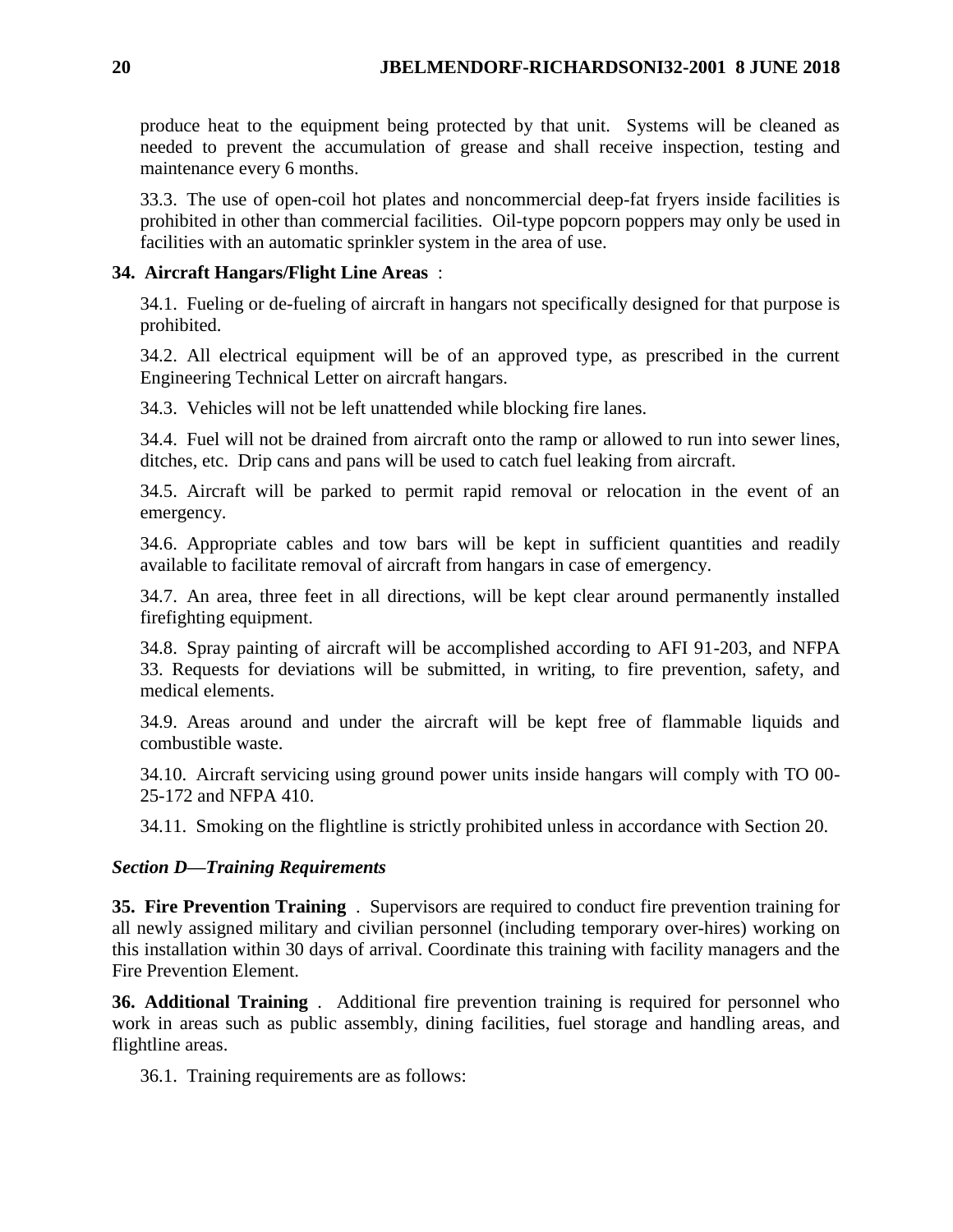produce heat to the equipment being protected by that unit. Systems will be cleaned as needed to prevent the accumulation of grease and shall receive inspection, testing and maintenance every 6 months.

33.3. The use of open-coil hot plates and noncommercial deep-fat fryers inside facilities is prohibited in other than commercial facilities. Oil-type popcorn poppers may only be used in facilities with an automatic sprinkler system in the area of use.

## <span id="page-19-0"></span>**34. Aircraft Hangars/Flight Line Areas** :

34.1. Fueling or de-fueling of aircraft in hangars not specifically designed for that purpose is prohibited.

34.2. All electrical equipment will be of an approved type, as prescribed in the current Engineering Technical Letter on aircraft hangars.

34.3. Vehicles will not be left unattended while blocking fire lanes.

34.4. Fuel will not be drained from aircraft onto the ramp or allowed to run into sewer lines, ditches, etc. Drip cans and pans will be used to catch fuel leaking from aircraft.

34.5. Aircraft will be parked to permit rapid removal or relocation in the event of an emergency.

34.6. Appropriate cables and tow bars will be kept in sufficient quantities and readily available to facilitate removal of aircraft from hangars in case of emergency.

34.7. An area, three feet in all directions, will be kept clear around permanently installed firefighting equipment.

34.8. Spray painting of aircraft will be accomplished according to AFI 91-203, and NFPA 33. Requests for deviations will be submitted, in writing, to fire prevention, safety, and medical elements.

34.9. Areas around and under the aircraft will be kept free of flammable liquids and combustible waste.

34.10. Aircraft servicing using ground power units inside hangars will comply with TO 00- 25-172 and NFPA 410.

34.11. Smoking on the flightline is strictly prohibited unless in accordance with Section 20.

# <span id="page-19-1"></span>*Section D—Training Requirements*

<span id="page-19-2"></span>**35. Fire Prevention Training** . Supervisors are required to conduct fire prevention training for all newly assigned military and civilian personnel (including temporary over-hires) working on this installation within 30 days of arrival. Coordinate this training with facility managers and the Fire Prevention Element.

<span id="page-19-3"></span>**36. Additional Training** . Additional fire prevention training is required for personnel who work in areas such as public assembly, dining facilities, fuel storage and handling areas, and flightline areas.

36.1. Training requirements are as follows: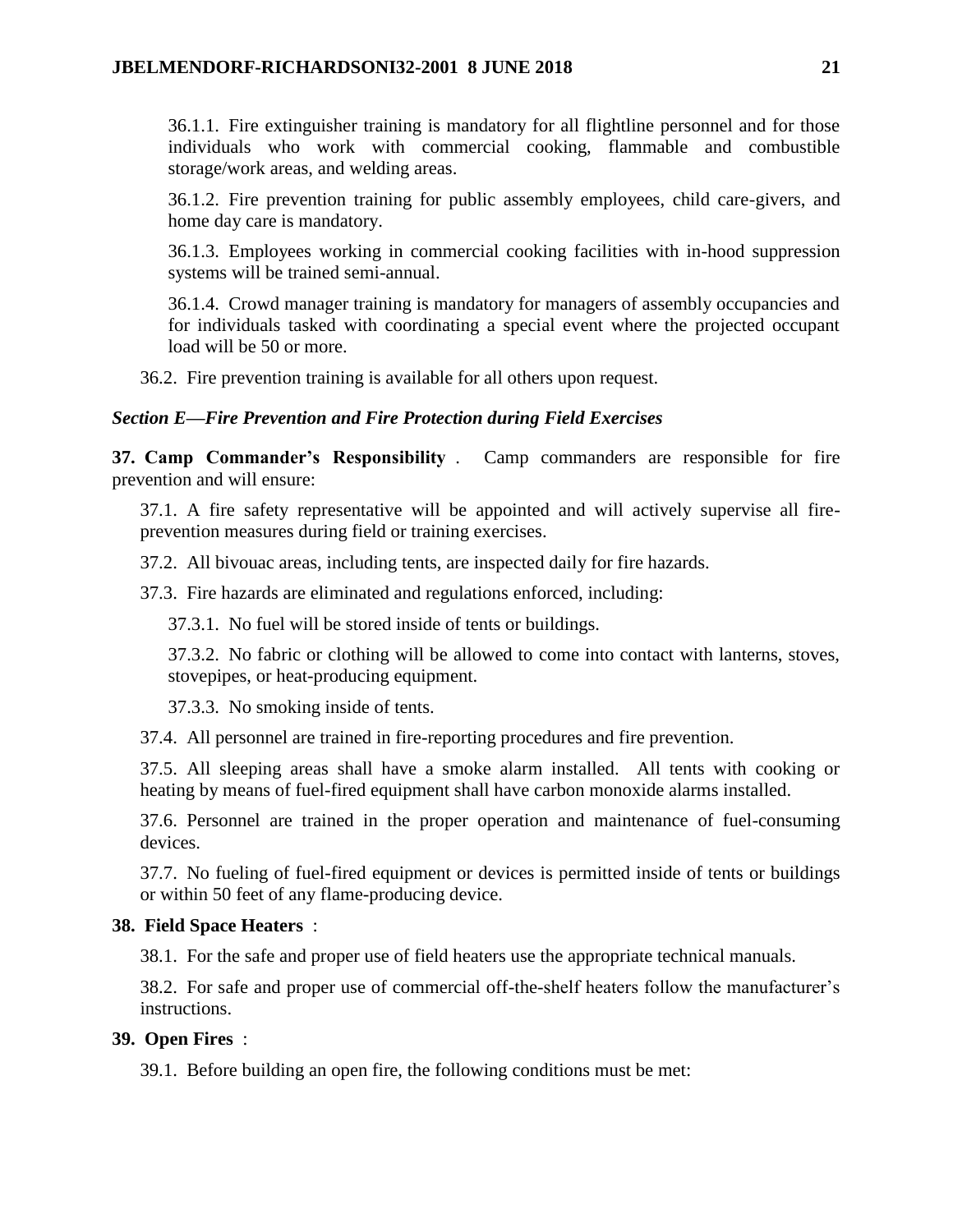36.1.1. Fire extinguisher training is mandatory for all flightline personnel and for those individuals who work with commercial cooking, flammable and combustible storage/work areas, and welding areas.

36.1.2. Fire prevention training for public assembly employees, child care-givers, and home day care is mandatory.

36.1.3. Employees working in commercial cooking facilities with in-hood suppression systems will be trained semi-annual.

36.1.4. Crowd manager training is mandatory for managers of assembly occupancies and for individuals tasked with coordinating a special event where the projected occupant load will be 50 or more.

36.2. Fire prevention training is available for all others upon request.

## <span id="page-20-0"></span>*Section E—Fire Prevention and Fire Protection during Field Exercises*

<span id="page-20-1"></span>**37. Camp Commander's Responsibility** . Camp commanders are responsible for fire prevention and will ensure:

37.1. A fire safety representative will be appointed and will actively supervise all fireprevention measures during field or training exercises.

37.2. All bivouac areas, including tents, are inspected daily for fire hazards.

37.3. Fire hazards are eliminated and regulations enforced, including:

37.3.1. No fuel will be stored inside of tents or buildings.

37.3.2. No fabric or clothing will be allowed to come into contact with lanterns, stoves, stovepipes, or heat-producing equipment.

37.3.3. No smoking inside of tents.

37.4. All personnel are trained in fire-reporting procedures and fire prevention.

37.5. All sleeping areas shall have a smoke alarm installed. All tents with cooking or heating by means of fuel-fired equipment shall have carbon monoxide alarms installed.

37.6. Personnel are trained in the proper operation and maintenance of fuel-consuming devices.

37.7. No fueling of fuel-fired equipment or devices is permitted inside of tents or buildings or within 50 feet of any flame-producing device.

## <span id="page-20-2"></span>**38. Field Space Heaters** :

38.1. For the safe and proper use of field heaters use the appropriate technical manuals.

38.2. For safe and proper use of commercial off-the-shelf heaters follow the manufacturer's instructions.

## <span id="page-20-3"></span>**39. Open Fires** :

39.1. Before building an open fire, the following conditions must be met: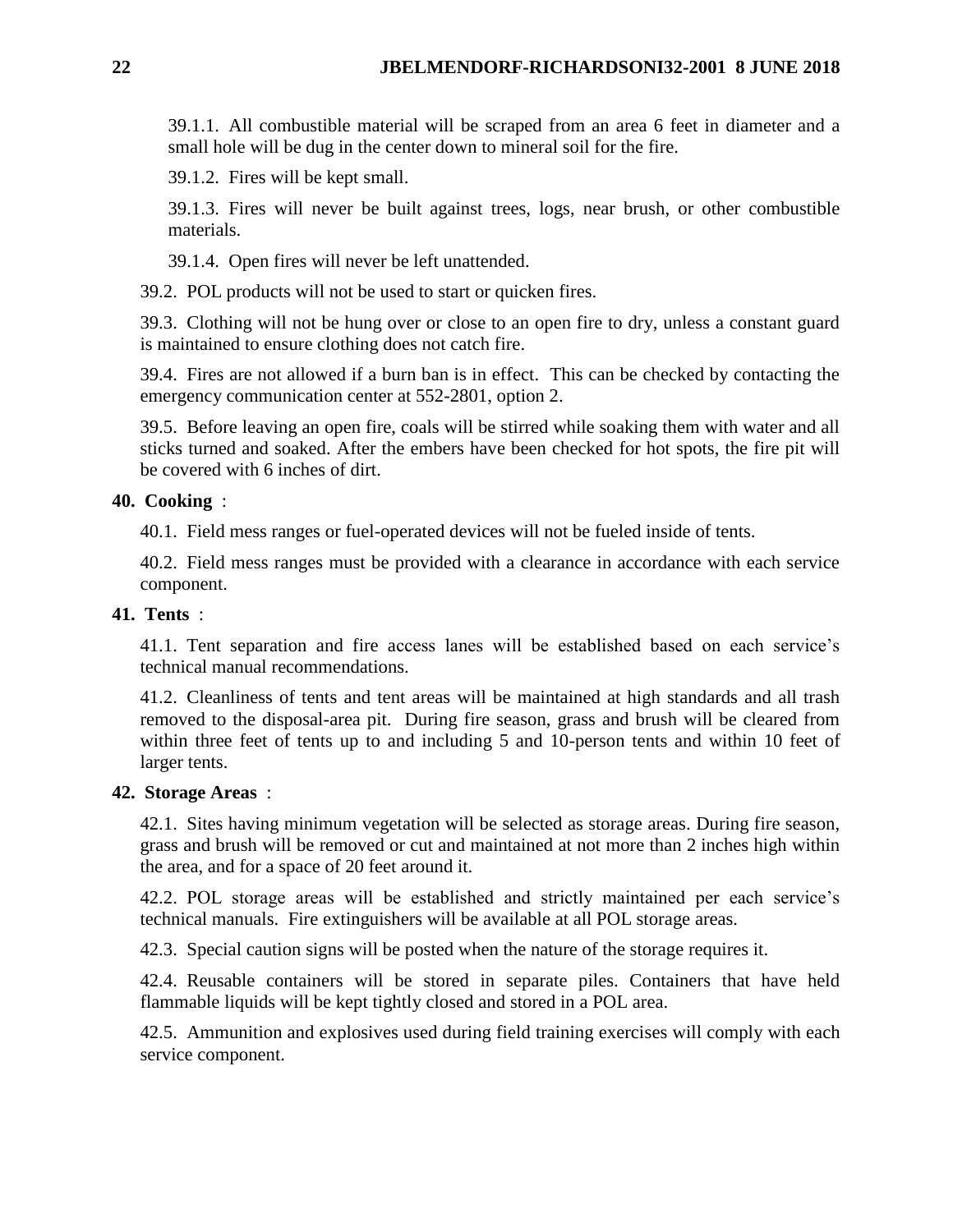39.1.1. All combustible material will be scraped from an area 6 feet in diameter and a small hole will be dug in the center down to mineral soil for the fire.

39.1.2. Fires will be kept small.

39.1.3. Fires will never be built against trees, logs, near brush, or other combustible materials.

39.1.4. Open fires will never be left unattended.

39.2. POL products will not be used to start or quicken fires.

39.3. Clothing will not be hung over or close to an open fire to dry, unless a constant guard is maintained to ensure clothing does not catch fire.

39.4. Fires are not allowed if a burn ban is in effect. This can be checked by contacting the emergency communication center at 552-2801, option 2.

39.5. Before leaving an open fire, coals will be stirred while soaking them with water and all sticks turned and soaked. After the embers have been checked for hot spots, the fire pit will be covered with 6 inches of dirt.

## <span id="page-21-0"></span>**40. Cooking** :

40.1. Field mess ranges or fuel-operated devices will not be fueled inside of tents.

40.2. Field mess ranges must be provided with a clearance in accordance with each service component.

#### <span id="page-21-1"></span>**41. Tents** :

41.1. Tent separation and fire access lanes will be established based on each service's technical manual recommendations.

41.2. Cleanliness of tents and tent areas will be maintained at high standards and all trash removed to the disposal-area pit. During fire season, grass and brush will be cleared from within three feet of tents up to and including 5 and 10-person tents and within 10 feet of larger tents.

## <span id="page-21-2"></span>**42. Storage Areas** :

42.1. Sites having minimum vegetation will be selected as storage areas. During fire season, grass and brush will be removed or cut and maintained at not more than 2 inches high within the area, and for a space of 20 feet around it.

42.2. POL storage areas will be established and strictly maintained per each service's technical manuals. Fire extinguishers will be available at all POL storage areas.

42.3. Special caution signs will be posted when the nature of the storage requires it.

42.4. Reusable containers will be stored in separate piles. Containers that have held flammable liquids will be kept tightly closed and stored in a POL area.

42.5. Ammunition and explosives used during field training exercises will comply with each service component.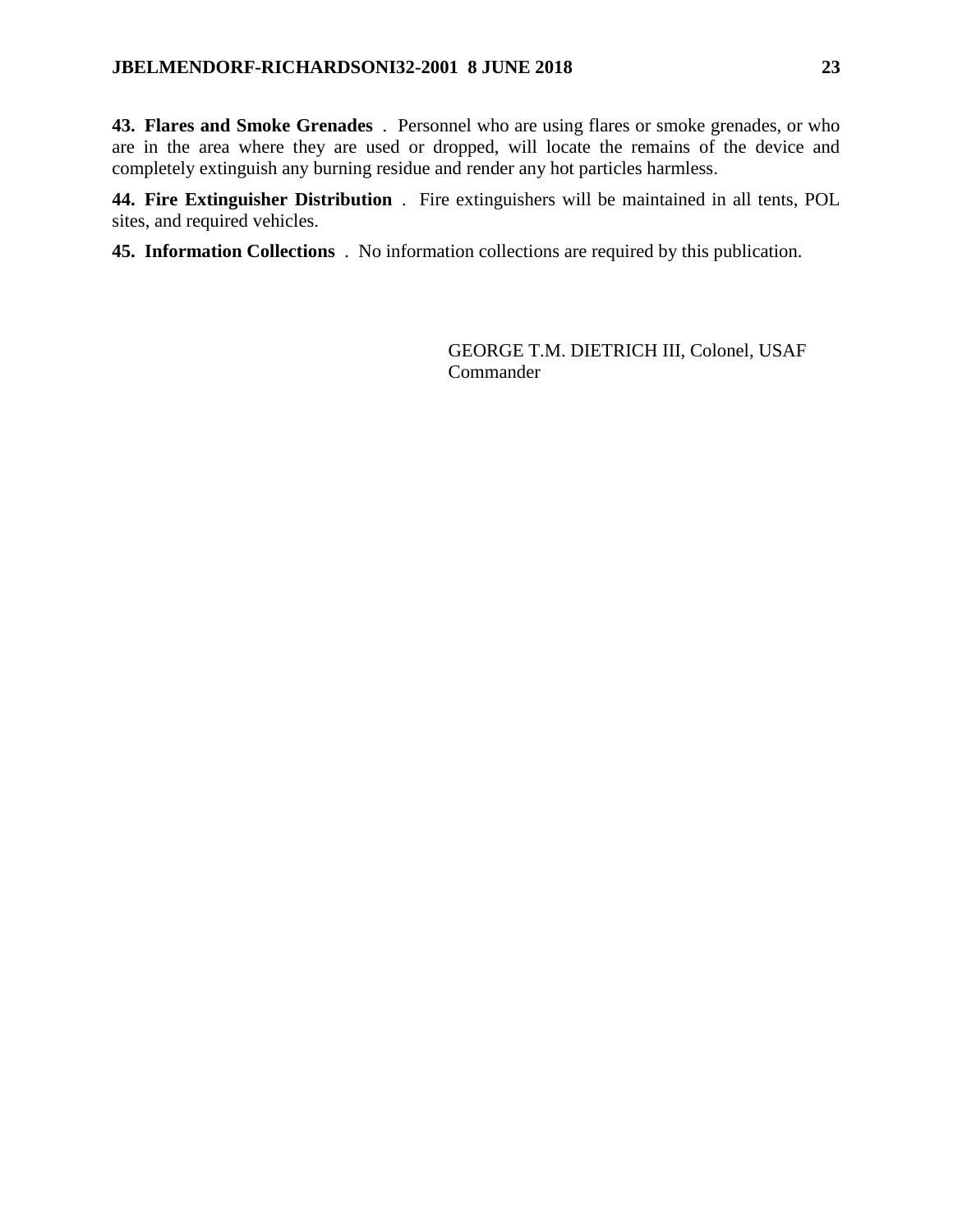<span id="page-22-0"></span>**43. Flares and Smoke Grenades** . Personnel who are using flares or smoke grenades, or who are in the area where they are used or dropped, will locate the remains of the device and completely extinguish any burning residue and render any hot particles harmless.

<span id="page-22-1"></span>**44. Fire Extinguisher Distribution** . Fire extinguishers will be maintained in all tents, POL sites, and required vehicles.

<span id="page-22-2"></span>**45. Information Collections** . No information collections are required by this publication.

GEORGE T.M. DIETRICH III, Colonel, USAF **Commander**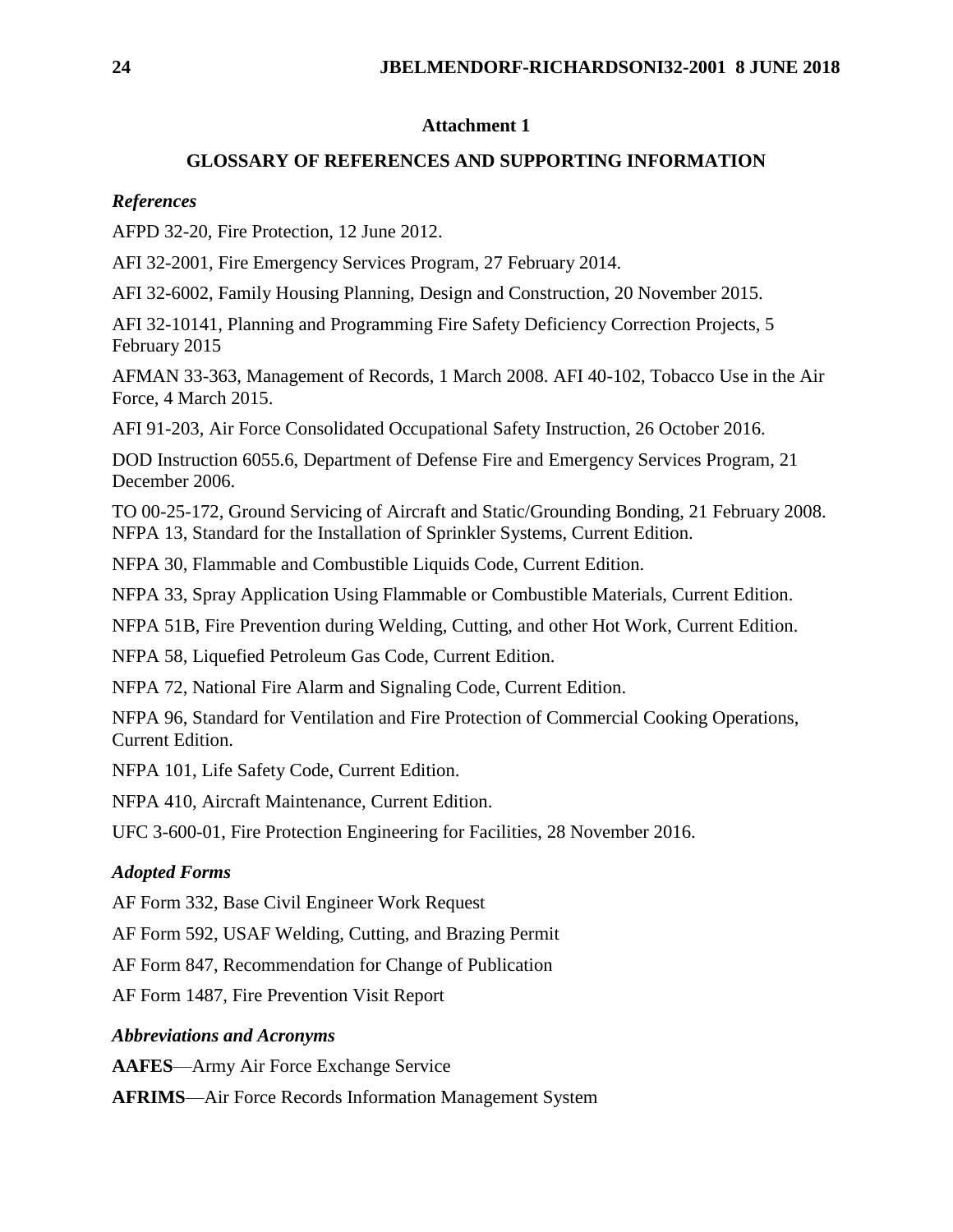## **Attachment 1**

#### **GLOSSARY OF REFERENCES AND SUPPORTING INFORMATION**

#### <span id="page-23-0"></span>*References*

AFPD 32-20, Fire Protection, 12 June 2012.

AFI 32-2001, Fire Emergency Services Program, 27 February 2014.

AFI 32-6002, Family Housing Planning, Design and Construction, 20 November 2015.

AFI 32-10141, Planning and Programming Fire Safety Deficiency Correction Projects, 5 February 2015

AFMAN 33-363, Management of Records, 1 March 2008. AFI 40-102, Tobacco Use in the Air Force, 4 March 2015.

AFI 91-203, Air Force Consolidated Occupational Safety Instruction, 26 October 2016.

DOD Instruction 6055.6, Department of Defense Fire and Emergency Services Program, 21 December 2006.

TO 00-25-172, Ground Servicing of Aircraft and Static/Grounding Bonding, 21 February 2008. NFPA 13, Standard for the Installation of Sprinkler Systems, Current Edition.

NFPA 30, Flammable and Combustible Liquids Code, Current Edition.

NFPA 33, Spray Application Using Flammable or Combustible Materials, Current Edition.

NFPA 51B, Fire Prevention during Welding, Cutting, and other Hot Work, Current Edition.

NFPA 58, Liquefied Petroleum Gas Code, Current Edition.

NFPA 72, National Fire Alarm and Signaling Code, Current Edition.

NFPA 96, Standard for Ventilation and Fire Protection of Commercial Cooking Operations, Current Edition.

NFPA 101, Life Safety Code, Current Edition.

NFPA 410, Aircraft Maintenance, Current Edition.

UFC 3-600-01, Fire Protection Engineering for Facilities, 28 November 2016.

## *Adopted Forms*

AF Form 332, Base Civil Engineer Work Request

AF Form 592, USAF Welding, Cutting, and Brazing Permit

AF Form 847, Recommendation for Change of Publication

AF Form 1487, Fire Prevention Visit Report

#### *Abbreviations and Acronyms*

**AAFES**—Army Air Force Exchange Service

**AFRIMS**—Air Force Records Information Management System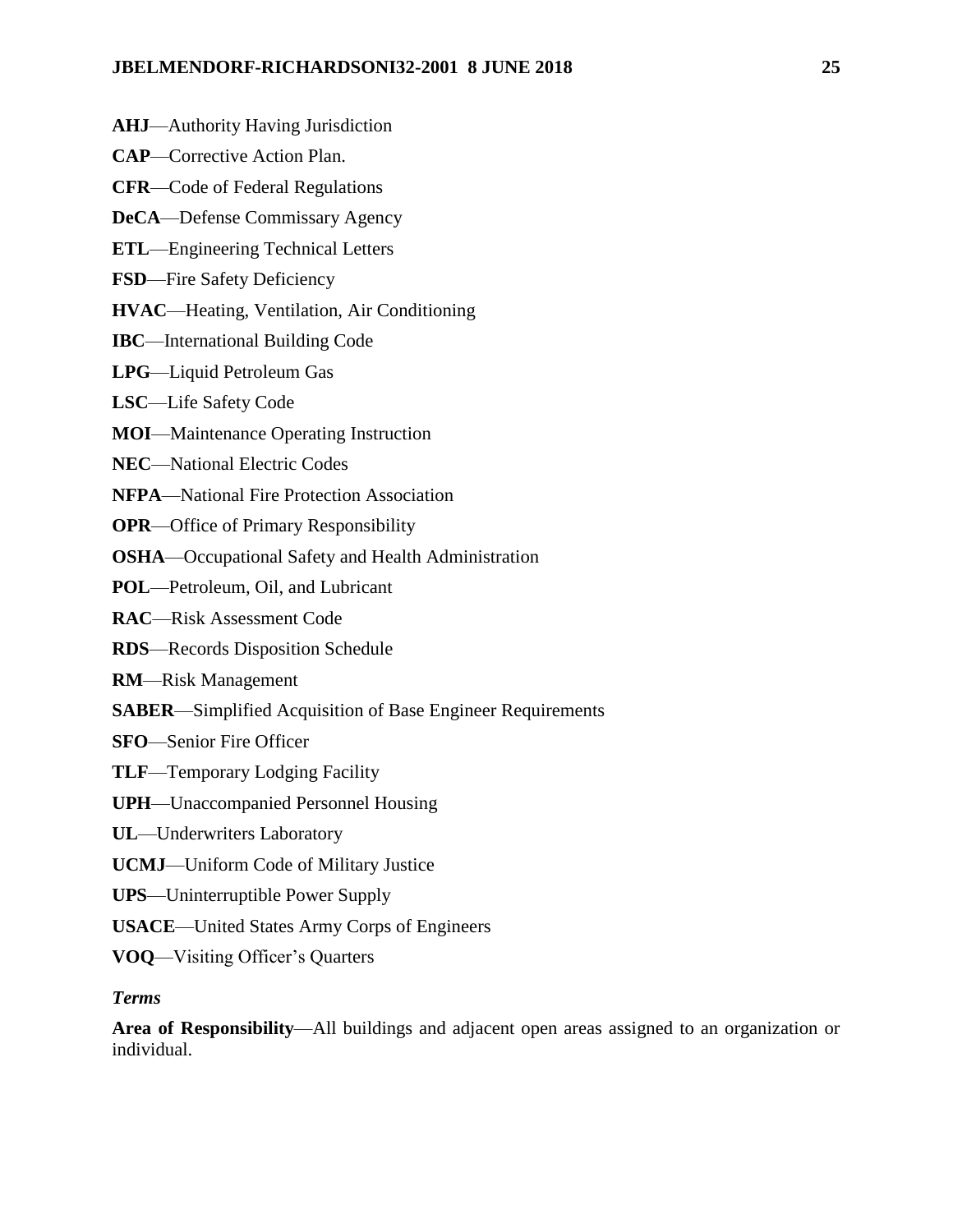- **AHJ**—Authority Having Jurisdiction
- **CAP**—Corrective Action Plan.
- **CFR**—Code of Federal Regulations
- **DeCA**—Defense Commissary Agency
- **ETL**—Engineering Technical Letters
- **FSD**—Fire Safety Deficiency
- **HVAC**—Heating, Ventilation, Air Conditioning
- **IBC**—International Building Code
- **LPG**—Liquid Petroleum Gas
- **LSC**—Life Safety Code
- **MOI**—Maintenance Operating Instruction
- **NEC**—National Electric Codes
- **NFPA**—National Fire Protection Association
- **OPR**—Office of Primary Responsibility
- **OSHA**—Occupational Safety and Health Administration
- **POL**—Petroleum, Oil, and Lubricant
- **RAC**—Risk Assessment Code
- **RDS**—Records Disposition Schedule
- **RM**—Risk Management
- **SABER**—Simplified Acquisition of Base Engineer Requirements
- **SFO**—Senior Fire Officer
- **TLF**—Temporary Lodging Facility
- **UPH**—Unaccompanied Personnel Housing
- **UL**—Underwriters Laboratory
- **UCMJ**—Uniform Code of Military Justice
- **UPS**—Uninterruptible Power Supply
- **USACE**—United States Army Corps of Engineers
- **VOQ**—Visiting Officer's Quarters

#### *Terms*

**Area of Responsibility**—All buildings and adjacent open areas assigned to an organization or individual.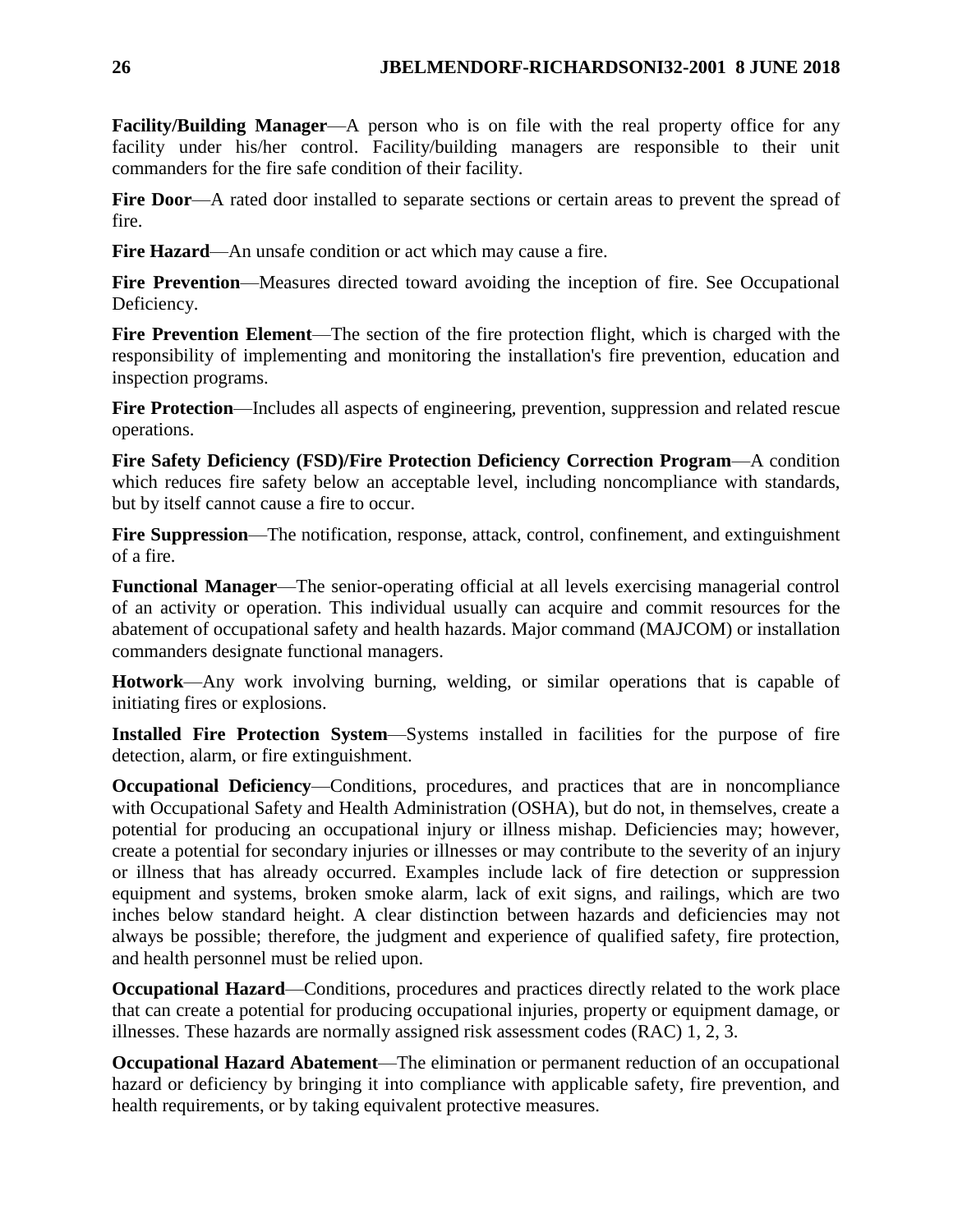**Facility/Building Manager**—A person who is on file with the real property office for any facility under his/her control. Facility/building managers are responsible to their unit commanders for the fire safe condition of their facility.

**Fire Door**—A rated door installed to separate sections or certain areas to prevent the spread of fire.

**Fire Hazard**—An unsafe condition or act which may cause a fire.

**Fire Prevention**—Measures directed toward avoiding the inception of fire. See Occupational Deficiency.

Fire Prevention Element—The section of the fire protection flight, which is charged with the responsibility of implementing and monitoring the installation's fire prevention, education and inspection programs.

**Fire Protection**—Includes all aspects of engineering, prevention, suppression and related rescue operations.

**Fire Safety Deficiency (FSD)/Fire Protection Deficiency Correction Program**—A condition which reduces fire safety below an acceptable level, including noncompliance with standards, but by itself cannot cause a fire to occur.

**Fire Suppression**—The notification, response, attack, control, confinement, and extinguishment of a fire.

**Functional Manager**—The senior-operating official at all levels exercising managerial control of an activity or operation. This individual usually can acquire and commit resources for the abatement of occupational safety and health hazards. Major command (MAJCOM) or installation commanders designate functional managers.

**Hotwork**—Any work involving burning, welding, or similar operations that is capable of initiating fires or explosions.

**Installed Fire Protection System**—Systems installed in facilities for the purpose of fire detection, alarm, or fire extinguishment.

**Occupational Deficiency**—Conditions, procedures, and practices that are in noncompliance with Occupational Safety and Health Administration (OSHA), but do not, in themselves, create a potential for producing an occupational injury or illness mishap. Deficiencies may; however, create a potential for secondary injuries or illnesses or may contribute to the severity of an injury or illness that has already occurred. Examples include lack of fire detection or suppression equipment and systems, broken smoke alarm, lack of exit signs, and railings, which are two inches below standard height. A clear distinction between hazards and deficiencies may not always be possible; therefore, the judgment and experience of qualified safety, fire protection, and health personnel must be relied upon.

**Occupational Hazard**—Conditions, procedures and practices directly related to the work place that can create a potential for producing occupational injuries, property or equipment damage, or illnesses. These hazards are normally assigned risk assessment codes (RAC) 1, 2, 3.

**Occupational Hazard Abatement**—The elimination or permanent reduction of an occupational hazard or deficiency by bringing it into compliance with applicable safety, fire prevention, and health requirements, or by taking equivalent protective measures.